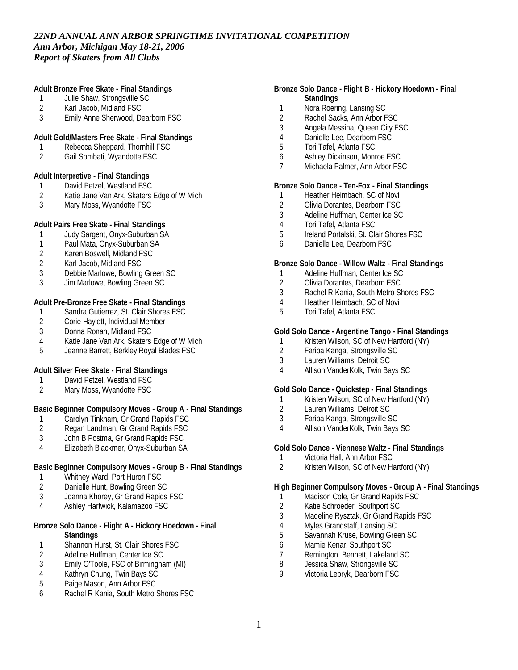**Adult Bronze Free Skate - Final Standings**

- 1 Julie Shaw, Strongsville SC
- 2 Karl Jacob, Midland FSC<br>3 Emily Anne Sherwood. De
- 3 Emily Anne Sherwood, Dearborn FSC

**Adult Gold/Masters Free Skate - Final Standings**

- 1 Rebecca Sheppard, Thornhill FSC
- 2 Gail Sombati, Wyandotte FSC

**Adult Interpretive - Final Standings**

- 1 David Petzel, Westland FSC<br>2 Katie Jane Van Ark, Skaters
- 2 Katie Jane Van Ark, Skaters Edge of W Mich<br>3 Mary Moss. Wyandotte FSC
- Mary Moss, Wyandotte FSC

**Adult Pairs Free Skate - Final Standings**

- 1 Judy Sargent, Onyx-Suburban SA
- 1 Paul Mata, Onyx-Suburban SA
- 2 Karen Boswell, Midland FSC
- 2 Karl Jacob, Midland FSC
- 3 Debbie Marlowe, Bowling Green SC
- 3 Jim Marlowe, Bowling Green SC

**Adult Pre-Bronze Free Skate - Final Standings**

- 1 Sandra Gutierrez, St. Clair Shores FSC<br>2 Corie Haylett, Individual Member
- 2 Corie Haylett, Individual Member<br>3 Donna Ronan, Midland FSC
- Donna Ronan, Midland FSC
- 4 Katie Jane Van Ark, Skaters Edge of W Mich<br>5 Jeanne Barrett. Berklev Roval Blades FSC
- 5 Jeanne Barrett, Berkley Royal Blades FSC

**Adult Silver Free Skate - Final Standings**

- 1 David Petzel, Westland FSC
- 2 Mary Moss, Wyandotte FSC

**Basic Beginner Compulsory Moves - Group A - Final Standings**

- 1 Carolyn Tinkham, Gr Grand Rapids FSC<br>2 Regan Landman, Gr Grand Rapids FSC
- 2 Regan Landman, Gr Grand Rapids FSC<br>3 John B Postma. Gr Grand Rapids FSC
- 3 John B Postma, Gr Grand Rapids FSC
- 4 Elizabeth Blackmer, Onyx-Suburban SA

### **Basic Beginner Compulsory Moves - Group B - Final Standings**

- 1 Whitney Ward, Port Huron FSC<br>2 Danielle Hunt. Bowling Green So
- Danielle Hunt, Bowling Green SC
- 3 Joanna Khorey, Gr Grand Rapids FSC
- 4 Ashley Hartwick, Kalamazoo FSC

#### **Bronze Solo Dance - Flight A - Hickory Hoedown - Final Standings**

- 1 Shannon Hurst, St. Clair Shores FSC
- 2 Adeline Huffman, Center Ice SC<br>3 Emily O'Toole, FSC of Birmingha
- Emily O'Toole, FSC of Birmingham (MI)
- 4 Kathryn Chung, Twin Bays SC
- 5 Paige Mason, Ann Arbor FSC
- 6 Rachel R Kania, South Metro Shores FSC

### **Bronze Solo Dance - Flight B - Hickory Hoedown - Final Standings**

- 1 Nora Roering, Lansing SC<br>2 Rachel Sacks. Ann Arbor F
- Rachel Sacks, Ann Arbor FSC
- 3 Angela Messina, Queen City FSC
- 4 Danielle Lee, Dearborn FSC<br>5 Tori Tafel. Atlanta FSC
- 5 Tori Tafel, Atlanta FSC
- 6 Ashley Dickinson, Monroe FSC
- 7 Michaela Palmer, Ann Arbor FSC

**Bronze Solo Dance - Ten-Fox - Final Standings**

- 1 Heather Heimbach, SC of Novi<br>2 Olivia Dorantes, Dearborn FSC
- 2 Olivia Dorantes, Dearborn FSC<br>3 Adeline Huffman, Center Ice SC
- 3 Adeline Huffman, Center Ice SC
- 4 Tori Tafel, Atlanta FSC
- 5 Ireland Portalski, St. Clair Shores FSC
- 6 Danielle Lee, Dearborn FSC

**Bronze Solo Dance - Willow Waltz - Final Standings**

- 1 Adeline Huffman, Center Ice SC
- 2 Olivia Dorantes, Dearborn FSC
- 3 Rachel R Kania, South Metro Shores FSC
- 4 Heather Heimbach, SC of Novi<br>5 Tori Tafel. Atlanta FSC
- 5 Tori Tafel, Atlanta FSC

### **Gold Solo Dance - Argentine Tango - Final Standings**

- 1 Kristen Wilson, SC of New Hartford (NY)<br>2 Fariba Kanga, Strongsville SC
- 2 Fariba Kanga, Strongsville SC
- 3 Lauren Williams, Detroit SC
- 4 Allison VanderKolk, Twin Bays SC

**Gold Solo Dance - Quickstep - Final Standings**

- 1 Kristen Wilson, SC of New Hartford (NY)
- 2 Lauren Williams, Detroit SC
- 3 Fariba Kanga, Strongsville SC
- 4 Allison VanderKolk, Twin Bays SC

**Gold Solo Dance - Viennese Waltz - Final Standings**

- 1 Victoria Hall, Ann Arbor FSC
- 2 Kristen Wilson, SC of New Hartford (NY)

**High Beginner Compulsory Moves - Group A - Final Standings**

- 1 Madison Cole, Gr Grand Rapids FSC<br>2 Katie Schroeder, Southport SC
- 2 Katie Schroeder, Southport SC
- 3 Madeline Rysztak, Gr Grand Rapids FSC
- 4 Myles Grandstaff, Lansing SC<br>5 Savannah Kruse, Bowling Gre
- 5 Savannah Kruse, Bowling Green SC
- 6 Mamie Kenar, Southport SC
- 7 Remington Bennett, Lakeland SC<br>8 Jessica Shaw, Strongsville SC
- 8 Jessica Shaw, Strongsville SC<br>9 Victoria Lebryk Dearborn ESC
- Victoria Lebryk, Dearborn FSC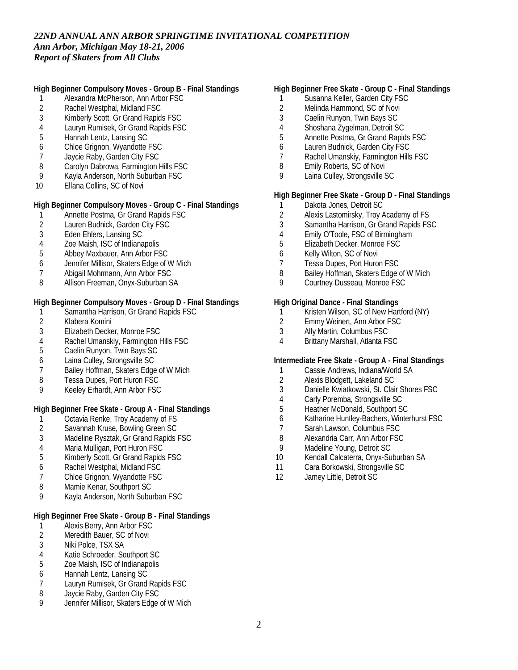**High Beginner Compulsory Moves - Group B - Final Standings**

- 1 Alexandra McPherson, Ann Arbor FSC
- 2 Rachel Westphal, Midland FSC<br>3 Kimberly Scott. Gr Grand Rapid:
- 3 Kimberly Scott, Gr Grand Rapids FSC
- 4 Lauryn Rumisek, Gr Grand Rapids FSC
- 5 Hannah Lentz, Lansing SC
- 6 Chloe Grignon, Wyandotte FSC
- 7 Jaycie Raby, Garden City FSC
- 8 Carolyn Dabrowa, Farmington Hills FSC
- 9 Kayla Anderson, North Suburban FSC
- 10 Ellana Collins, SC of Novi

**High Beginner Compulsory Moves - Group C - Final Standings**

- 1 Annette Postma, Gr Grand Rapids FSC
- 2 Lauren Budnick, Garden City FSC
- 3 Eden Ehlers, Lansing SC
- 4 Zoe Maish, ISC of Indianapolis
- 5 Abbey Maxbauer, Ann Arbor FSC
- 6 Jennifer Millisor, Skaters Edge of W Mich
- 7 Abigail Mohrmann, Ann Arbor FSC
- 8 Allison Freeman, Onyx-Suburban SA

**High Beginner Compulsory Moves - Group D - Final Standings**

- 1 Samantha Harrison, Gr Grand Rapids FSC
- 2 Klabera Komini<br>3 Elizabeth Decke
- Elizabeth Decker, Monroe FSC
- 4 Rachel Umanskiy, Farmington Hills FSC<br>5 Caelin Runvon. Twin Bays SC
- 5 Caelin Runyon, Twin Bays SC
- 6 Laina Culley, Strongsville SC
- 7 Bailey Hoffman, Skaters Edge of W Mich
- 8 Tessa Dupes, Port Huron FSC
- 9 Keeley Erhardt, Ann Arbor FSC

**High Beginner Free Skate - Group A - Final Standings**

- 
- 1 Octavia Renke, Troy Academy of FS<br>2 Savannah Kruse, Bowling Green SC
- 2 Savannah Kruse, Bowling Green SC<br>3 Madeline Rysztak. Gr Grand Rapids Madeline Rysztak, Gr Grand Rapids FSC
- 
- 4 Maria Mulligan, Port Huron FSC<br>5 Kimberly Scott, Gr Grand Rapids 5 Kimberly Scott, Gr Grand Rapids FSC
- 6 Rachel Westphal, Midland FSC
- 7 Chloe Grignon, Wyandotte FSC
- 8 Mamie Kenar, Southport SC
- 9 Kayla Anderson, North Suburban FSC

**High Beginner Free Skate - Group B - Final Standings**

- 1 Alexis Berry, Ann Arbor FSC<br>2 Meredith Bauer, SC of Novi
- Meredith Bauer, SC of Novi
- 3 Niki Polce, TSX SA
- 4 Katie Schroeder, Southport SC<br>5 Zoe Maish, ISC of Indianapolis
- 5 Zoe Maish, ISC of Indianapolis
- 6 Hannah Lentz, Lansing SC
- 7 Lauryn Rumisek, Gr Grand Rapids FSC
- 8 Jaycie Raby, Garden City FSC
- 9 Jennifer Millisor, Skaters Edge of W Mich

### **High Beginner Free Skate - Group C - Final Standings**

- 1 Susanna Keller, Garden City FSC
- 2 Melinda Hammond, SC of Novi<br>3 Caelin Runyon. Twin Bays SC
- 3 Caelin Runyon, Twin Bays SC
- 4 Shoshana Zygelman, Detroit SC
- 5 Annette Postma, Gr Grand Rapids FSC
- 6 Lauren Budnick, Garden City FSC
- 7 Rachel Umanskiy, Farmington Hills FSC
- 8 Emily Roberts, SC of Novi
- 9 Laina Culley, Strongsville SC

**High Beginner Free Skate - Group D - Final Standings**

- 1 Dakota Jones, Detroit SC
- 2 Alexis Lastomirsky, Troy Academy of FS
- 3 Samantha Harrison, Gr Grand Rapids FSC
- 4 Emily O'Toole, FSC of Birmingham
- 5 Elizabeth Decker, Monroe FSC
- 6 Kelly Wilton, SC of Novi
- 7 Tessa Dupes, Port Huron FSC
- 8 Bailey Hoffman, Skaters Edge of W Mich
- 9 Courtney Dusseau, Monroe FSC

**High Original Dance - Final Standings**

- 1 Kristen Wilson, SC of New Hartford (NY)
- 2 Emmy Weinert, Ann Arbor FSC
- 3 Ally Martin, Columbus FSC
- 4 Brittany Marshall, Atlanta FSC

**Intermediate Free Skate - Group A - Final Standings**

- 1 Cassie Andrews, Indiana/World SA<br>2 Alexis Blodgett, Lakeland SC
- 2 Alexis Blodgett, Lakeland SC
- 3 Danielle Kwiatkowski, St. Clair Shores FSC
- 4 Carly Poremba, Strongsville SC
- 5 Heather McDonald, Southport SC
- 6 Katharine Huntley-Bachers, Winterhurst FSC
- 7 Sarah Lawson, Columbus FSC<br>8 Alexandria Carr. Ann Arbor FSC
- 8 Alexandria Carr, Ann Arbor FSC
- 9 Madeline Young, Detroit SC
- 10 Kendall Calcaterra, Onyx-Suburban SA
- 11 Cara Borkowski, Strongsville SC
- 12 Jamey Little, Detroit SC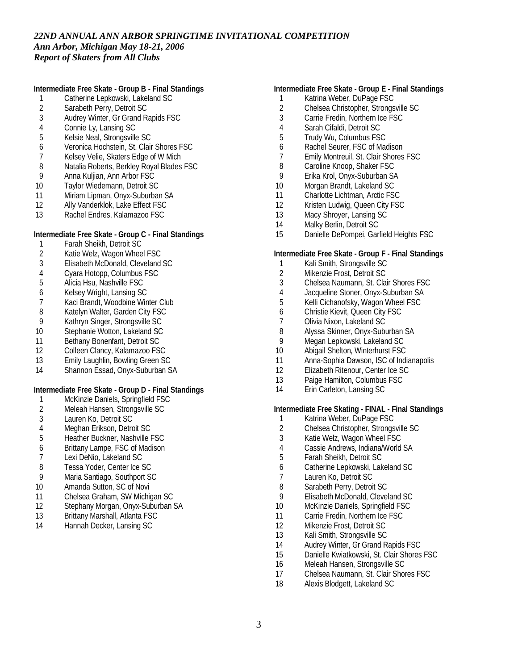**Intermediate Free Skate - Group B - Final Standings**

- 1 Catherine Lepkowski, Lakeland SC<br>2 Sarabeth Perry, Detroit SC
- 2 Sarabeth Perry, Detroit SC<br>3 Audrey Winter. Gr Grand R
- Audrey Winter, Gr Grand Rapids FSC
- 4 Connie Ly, Lansing SC<br>5 Kelsie Neal, Strongsville
- 5 Kelsie Neal, Strongsville SC
- 6 Veronica Hochstein, St. Clair Shores FSC
- 7 Kelsey Velie, Skaters Edge of W Mich
- 8 Natalia Roberts, Berkley Royal Blades FSC<br>9 Anna Kulijan, Ann Arbor FSC
- 9 Anna Kuljian, Ann Arbor FSC
- 10 Taylor Wiedemann, Detroit SC
- 11 Miriam Lipman, Onyx-Suburban SA<br>12 Ally Vanderklok. Lake Effect FSC
- Ally Vanderklok, Lake Effect FSC
- 13 Rachel Endres, Kalamazoo FSC

### **Intermediate Free Skate - Group C - Final Standings**

- 1 Farah Sheikh, Detroit SC<br>2 Katie Welz, Wagon Whee
- Katie Welz, Wagon Wheel FSC
- 3 Elisabeth McDonald, Cleveland SC
- 4 Cyara Hotopp, Columbus FSC
- 5 Alicia Hsu, Nashville FSC
- 
- 6 Kelsey Wright, Lansing SC
- 7 Kaci Brandt, Woodbine Winter Club<br>8 Katelyn Walter, Garden City FSC Katelyn Walter, Garden City FSC
- 9 Kathryn Singer, Strongsville SC
- 10 Stephanie Wotton, Lakeland SC
- 11 Bethany Bonenfant, Detroit SC
- 12 Colleen Clancy, Kalamazoo FSC
- 13 Emily Laughlin, Bowling Green SC
- 14 Shannon Essad, Onyx-Suburban SA

**Intermediate Free Skate - Group D - Final Standings**

- 1 McKinzie Daniels, Springfield FSC
- 2 Meleah Hansen, Strongsville SC
- 3 Lauren Ko, Detroit SC
- 4 Meghan Erikson, Detroit SC
- 5 Heather Buckner, Nashville FSC
- 6 Brittany Lampe, FSC of Madison
- 7 Lexi DeNio, Lakeland SC
- 8 Tessa Yoder, Center Ice SC
- 9 Maria Santiago, Southport SC
- 10 Amanda Sutton, SC of Novi
- 11 Chelsea Graham, SW Michigan SC
- 12 Stephany Morgan, Onyx-Suburban SA
- 13 Brittany Marshall, Atlanta FSC
- 14 Hannah Decker, Lansing SC

### **Intermediate Free Skate - Group E - Final Standings**

- 1 Katrina Weber, DuPage FSC<br>2 Chelsea Christopher, Strongs
- 2 Chelsea Christopher, Strongsville SC<br>3 Carrie Fredin. Northern Ice FSC
- Carrie Fredin, Northern Ice FSC
- 4 Sarah Cifaldi, Detroit SC
- 5 Trudy Wu, Columbus FSC
- 6 Rachel Seurer, FSC of Madison
- 7 Emily Montreuil, St. Clair Shores FSC
- 
- 8 Caroline Knoop, Shaker FSC<br>9 Frika Krol. Onvx-Suburban S*i* 9 Erika Krol, Onyx-Suburban SA
- 10 Morgan Brandt, Lakeland SC
- 11 Charlotte Lichtman, Arctic FSC
- 12 Kristen Ludwig, Queen City FSC
- 13 Macy Shroyer, Lansing SC
- 14 Malky Berlin, Detroit SC
- 15 Danielle DePompei, Garfield Heights FSC

#### **Intermediate Free Skate - Group F - Final Standings**

- 1 Kali Smith, Strongsville SC
- 2 Mikenzie Frost, Detroit SC
- 3 Chelsea Naumann, St. Clair Shores FSC
- 
- 4 Jacqueline Stoner, Onyx-Suburban SA<br>5 Kelli Cichanofsky, Wagon Wheel FSC 5 Kelli Cichanofsky, Wagon Wheel FSC
- 6 Christie Kievit, Queen City FSC
- 7 Olivia Nixon, Lakeland SC<br>8 Alvssa Skinner, Onvx-Subi
- 8 Alyssa Skinner, Onyx-Suburban SA<br>9 Megan Lepkowski, Lakeland SC
- Megan Lepkowski, Lakeland SC
- 10 Abigail Shelton, Winterhurst FSC
- 11 Anna-Sophia Dawson, ISC of Indianapolis
- 12 Elizabeth Ritenour, Center Ice SC
- 13 Paige Hamilton, Columbus FSC
- 14 Erin Carleton, Lansing SC

**Intermediate Free Skating - FINAL - Final Standings**

- 
- 1 Katrina Weber, DuPage FSC<br>2 Chelsea Christopher, Strongs 2 Chelsea Christopher, Strongsville SC<br>3 Katie Welz, Wagon Wheel FSC
- Katie Welz, Wagon Wheel FSC
- 4 Cassie Andrews, Indiana/World SA<br>5 Farah Sheikh, Detroit SC
- 5 Farah Sheikh, Detroit SC
- 6 Catherine Lepkowski, Lakeland SC
- 7 Lauren Ko, Detroit SC
- 8 Sarabeth Perry, Detroit SC
- 9 Elisabeth McDonald, Cleveland SC
- 10 McKinzie Daniels, Springfield FSC
- 11 Carrie Fredin, Northern Ice FSC
- 12 Mikenzie Frost, Detroit SC
- 13 Kali Smith, Strongsville SC
- 14 Audrey Winter, Gr Grand Rapids FSC
- 15 Danielle Kwiatkowski, St. Clair Shores FSC
- 16 Meleah Hansen, Strongsville SC
- 17 Chelsea Naumann, St. Clair Shores FSC
- 18 Alexis Blodgett, Lakeland SC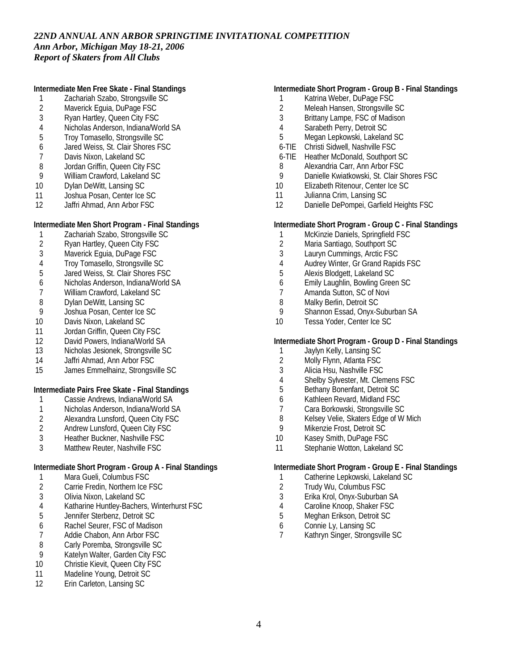**Intermediate Men Free Skate - Final Standings**

- 1 Zachariah Szabo, Strongsville SC<br>2 Maverick Equia, DuPage FSC
- 2 Maverick Eguia, DuPage FSC<br>3 Rvan Hartley, Oueen City FSC
- 3 Ryan Hartley, Queen City FSC
- 4 Nicholas Anderson, Indiana/World SA<br>5 Troy Tomasello, Strongsville SC
- 5 Troy Tomasello, Strongsville SC
- 6 Jared Weiss, St. Clair Shores FSC
- 7 Davis Nixon, Lakeland SC
- 8 Jordan Griffin, Queen City FSC<br>9 William Crawford, Lakeland SC 9 William Crawford, Lakeland SC
- 
- 10 Dylan DeWitt, Lansing SC 11 Joshua Posan, Center Ice SC
- 12 Jaffri Ahmad, Ann Arbor FSC

### **Intermediate Men Short Program - Final Standings**

- 1 Zachariah Szabo, Strongsville SC<br>2 Rvan Hartlev, Queen City FSC
- 
- 2 Ryan Hartley, Queen City FSC<br>3 Maverick Equia, DuPage FSC Maverick Eguia, DuPage FSC
- 4 Troy Tomasello, Strongsville SC
- 5 Jared Weiss, St. Clair Shores FSC
- 
- 6 Nicholas Anderson, Indiana/World SA
- 7 William Crawford, Lakeland SC<br>8 Dylan DeWitt, Lansing SC
- 8 Dylan DeWitt, Lansing SC<br>9 Joshua Posan, Center Ice Joshua Posan, Center Ice SC
- 10 Davis Nixon, Lakeland SC
- 11 Jordan Griffin, Queen City FSC
- 12 David Powers, Indiana/World SA
- 13 Nicholas Jesionek, Strongsville SC
- 14 Jaffri Ahmad, Ann Arbor FSC
- 15 James Emmelhainz, Strongsville SC

**Intermediate Pairs Free Skate - Final Standings**

- 1 Cassie Andrews, Indiana/World SA
- 1 Nicholas Anderson, Indiana/World SA
- 2 Alexandra Lunsford, Queen City FSC<br>2 Andrew Lunsford, Queen City FSC
- 2 Andrew Lunsford, Queen City FSC<br>3 Heather Buckner, Nashville FSC
- Heather Buckner, Nashville FSC
- 3 Matthew Reuter, Nashville FSC

**Intermediate Short Program - Group A - Final Standings**

- 1 Mara Gueli, Columbus FSC<br>2 Carrie Fredin, Northern Ice F
- 2 Carrie Fredin, Northern Ice FSC
- 3 Olivia Nixon, Lakeland SC
- 4 Katharine Huntley-Bachers, Winterhurst FSC
- 5 Jennifer Sterbenz, Detroit SC
- 6 Rachel Seurer, FSC of Madison<br>7 Addie Chabon. Ann Arbor FSC
- Addie Chabon, Ann Arbor FSC
- 8 Carly Poremba, Strongsville SC<br>9 Katelyn Walter, Garden City FS
- 9 Katelyn Walter, Garden City FSC<br>10 Christie Kievit. Queen City FSC
- Christie Kievit, Queen City FSC
- 11 Madeline Young, Detroit SC
- 12 Erin Carleton, Lansing SC

### **Intermediate Short Program - Group B - Final Standings**

- 1 Katrina Weber, DuPage FSC
- 2 Meleah Hansen, Strongsville SC<br>3 Brittany Lampe. FSC of Madison
- Brittany Lampe, FSC of Madison
- 4 Sarabeth Perry, Detroit SC
- 5 Megan Lepkowski, Lakeland SC
- 6-TIE Christi Sidwell, Nashville FSC
- 6-TIE Heather McDonald, Southport SC
- 
- 8 Alexandria Carr, Ann Arbor FSC<br>9 Danielle Kwiatkowski, St. Clair Sl Danielle Kwiatkowski, St. Clair Shores FSC
- 10 Elizabeth Ritenour, Center Ice SC
- 11 Julianna Crim, Lansing SC
- 12 Danielle DePompei, Garfield Heights FSC

**Intermediate Short Program - Group C - Final Standings**

- 1 McKinzie Daniels, Springfield FSC
- 2 Maria Santiago, Southport SC
- 3 Lauryn Cummings, Arctic FSC
- 4 Audrey Winter, Gr Grand Rapids FSC
- 5 Alexis Blodgett, Lakeland SC
- 6 Emily Laughlin, Bowling Green SC
- 7 Amanda Sutton, SC of Novi<br>8 Malky Berlin, Detroit SC
- 8 Malky Berlin, Detroit SC<br>9 Shannon Essad, Onvx-S
- Shannon Essad, Onyx-Suburban SA
- 10 Tessa Yoder, Center Ice SC

### **Intermediate Short Program - Group D - Final Standings**

- 1 Jaylyn Kelly, Lansing SC
- 2 Molly Flynn, Atlanta FSC<br>3 Alicia Hsu, Nashville FSC
- 3 Alicia Hsu, Nashville FSC
- 4 Shelby Sylvester, Mt. Clemens FSC
- 5 Bethany Bonenfant, Detroit SC
- 6 Kathleen Revard, Midland FSC
- 7 Cara Borkowski, Strongsville SC
- 8 Kelsey Velie, Skaters Edge of W Mich<br>9 Mikenzie Frost, Detroit SC
- Mikenzie Frost, Detroit SC
- 10 Kasey Smith, DuPage FSC
- 11 Stephanie Wotton, Lakeland SC

**Intermediate Short Program - Group E - Final Standings**

- 1 Catherine Lepkowski, Lakeland SC
- 2 Trudy Wu, Columbus FSC
- 3 Erika Krol, Onyx-Suburban SA
- 4 Caroline Knoop, Shaker FSC<br>5 Meghan Erikson, Detroit SC
- 5 Meghan Erikson, Detroit SC
- 6 Connie Ly, Lansing SC<br>7 Kathryn Singer, Strongs
- 7 Kathryn Singer, Strongsville SC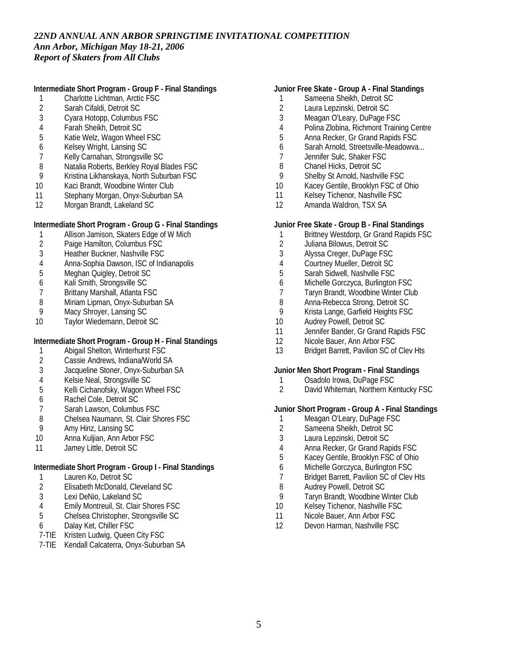**Intermediate Short Program - Group F - Final Standings**

- 1 Charlotte Lichtman, Arctic FSC<br>2 Sarah Cifaldi, Detroit SC
- 2 Sarah Cifaldi, Detroit SC<br>3 Cvara Hotopp, Columbus
- 3 Cyara Hotopp, Columbus FSC
- 4 Farah Sheikh, Detroit SC
- 5 Katie Welz, Wagon Wheel FSC
- 6 Kelsey Wright, Lansing SC
- 7 Kelly Carnahan, Strongsville SC
- 8 Natalia Roberts, Berkley Royal Blades FSC<br>9 Kristina Likhanskava, North Suburban FSC
- 9 Kristina Likhanskaya, North Suburban FSC
- 10 Kaci Brandt, Woodbine Winter Club
- 11 Stephany Morgan, Onyx-Suburban SA
- 12 Morgan Brandt, Lakeland SC

### **Intermediate Short Program - Group G - Final Standings**

- 1 Allison Jamison, Skaters Edge of W Mich<br>2 Paige Hamilton, Columbus FSC
- 2 Paige Hamilton, Columbus FSC
- 3 Heather Buckner, Nashville FSC
- 4 Anna-Sophia Dawson, ISC of Indianapolis
- 5 Meghan Quigley, Detroit SC
- 
- 6 Kali Smith, Strongsville SC<br>7 Brittany Marshall, Atlanta F
- 7 Brittany Marshall, Atlanta FSC<br>8 Miriam Lipman, Onyx-Suburba 8 Miriam Lipman, Onyx-Suburban SA<br>9 Macy Shrover, Lansing SC
- Macy Shroyer, Lansing SC
- 10 Taylor Wiedemann, Detroit SC

**Intermediate Short Program - Group H - Final Standings**

- 1 Abigail Shelton, Winterhurst FSC
- 2 Cassie Andrews, Indiana/World SA<br>3 Jacqueline Stoner, Onyx-Suburban
- Jacqueline Stoner, Onyx-Suburban SA
- 4 Kelsie Neal, Strongsville SC
- 5 Kelli Cichanofsky, Wagon Wheel FSC
- 6 Rachel Cole, Detroit SC
- 7 Sarah Lawson, Columbus FSC
- 8 Chelsea Naumann, St. Clair Shores FSC<br>9 Amy Hinz, Lansing SC
- Amy Hinz, Lansing SC
- 10 Anna Kuljian, Ann Arbor FSC
- 11 Jamey Little, Detroit SC

**Intermediate Short Program - Group I - Final Standings**

- 1 Lauren Ko, Detroit SC
- 2 Elisabeth McDonald, Cleveland SC
- 3 Lexi DeNio, Lakeland SC
- 4 Emily Montreuil, St. Clair Shores FSC
- 5 Chelsea Christopher, Strongsville SC
- 6 Dalay Ket, Chiller FSC
- 7-TIE Kristen Ludwig, Queen City FSC
- 7-TIE Kendall Calcaterra, Onyx-Suburban SA

### **Junior Free Skate - Group A - Final Standings**

- 1 Sameena Sheikh, Detroit SC
- 2 Laura Lepzinski, Detroit SC<br>3 Meagan O'Leary, DuPage F
- Meagan O'Leary, DuPage FSC
- 4 Polina Zlobina, Richmont Training Centre
- 5 Anna Recker, Gr Grand Rapids FSC
- 6 Sarah Arnold, Streetsville-Meadowva...
- 7 Jennifer Sulc, Shaker FSC
- 8 Chanel Hicks, Detroit SC<br>9 Shelby St Arnold, Nashvil
- Shelby St Arnold, Nashville FSC
- 10 Kacey Gentile, Brooklyn FSC of Ohio
- 11 Kelsey Tichenor, Nashville FSC
- 12 Amanda Waldron, TSX SA

### **Junior Free Skate - Group B - Final Standings**

- 1 Brittney Westdorp, Gr Grand Rapids FSC
- 2 Juliana Bilowus, Detroit SC
- 3 Alyssa Creger, DuPage FSC
- 4 Courtney Mueller, Detroit SC
- 5 Sarah Sidwell, Nashville FSC
- 6 Michelle Gorczyca, Burlington FSC
- 7 Taryn Brandt, Woodbine Winter Club
- 8 Anna-Rebecca Strong, Detroit SC<br>9 Krista Lange, Garfield Heights FSC
- 9 Krista Lange, Garfield Heights FSC
- 10 Audrey Powell, Detroit SC
- 11 Jennifer Bander, Gr Grand Rapids FSC
- 12 Nicole Bauer, Ann Arbor FSC
- 13 Bridget Barrett, Pavilion SC of Clev Hts

**Junior Men Short Program - Final Standings**

- 1 Osadolo Irowa, DuPage FSC
- 2 David Whiteman, Northern Kentucky FSC

**Junior Short Program - Group A - Final Standings**

- 1 Meagan O'Leary, DuPage FSC<br>2 Sameena Sheikh, Detroit SC
- 2 Sameena Sheikh, Detroit SC<br>3 Laura Lepzinski, Detroit SC
- Laura Lepzinski, Detroit SC
- 4 Anna Recker, Gr Grand Rapids FSC<br>5 Kacey Gentile, Brooklyn FSC of Ohic
- 5 Kacey Gentile, Brooklyn FSC of Ohio
- 6 Michelle Gorczyca, Burlington FSC
- 7 Bridget Barrett, Pavilion SC of Clev Hts
- 8 Audrey Powell, Detroit SC
- 9 Taryn Brandt, Woodbine Winter Club
- 10 Kelsey Tichenor, Nashville FSC
- 11 Nicole Bauer, Ann Arbor FSC
- 12 Devon Harman, Nashville FSC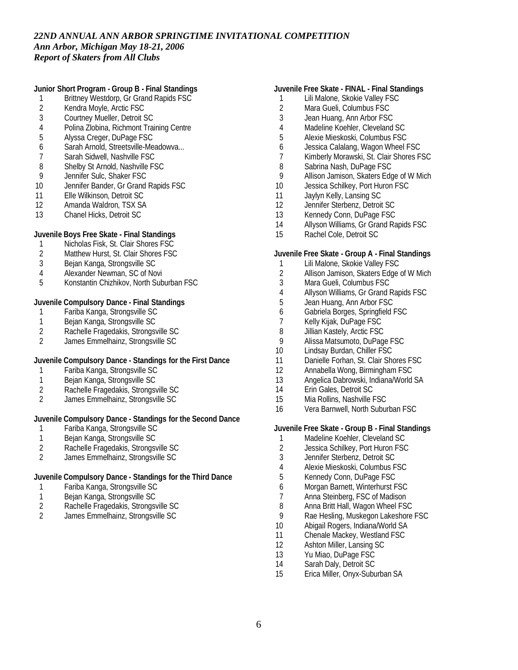**Junior Short Program - Group B - Final Standings**

- 1 Brittney Westdorp, Gr Grand Rapids FSC
- 2 Kendra Moyle, Arctic FSC<br>3 Courtney Mueller, Detroit S
- 3 Courtney Mueller, Detroit SC
- 4 Polina Zlobina, Richmont Training Centre
- 5 Alyssa Creger, DuPage FSC
- 6 Sarah Arnold, Streetsville-Meadowva...
- 7 Sarah Sidwell, Nashville FSC
- 8 Shelby St Arnold, Nashville FSC<br>9 Jennifer Sulc. Shaker FSC
- Jennifer Sulc, Shaker FSC
- 10 Jennifer Bander, Gr Grand Rapids FSC
- 11 Elle Wilkinson, Detroit SC
- 12 Amanda Waldron, TSX SA
- 13 Chanel Hicks, Detroit SC

**Juvenile Boys Free Skate - Final Standings**

- 1 Nicholas Fisk, St. Clair Shores FSC<br>2 Matthew Hurst, St. Clair Shores FSC
- Matthew Hurst, St. Clair Shores FSC
- 3 Bejan Kanga, Strongsville SC
- 4 Alexander Newman, SC of Novi
- 5 Konstantin Chizhikov, North Suburban FSC

**Juvenile Compulsory Dance - Final Standings**

- 1 Fariba Kanga, Strongsville SC
- 1 Bejan Kanga, Strongsville SC<br>2 Rachelle Fragedakis, Strongsv
- 2 Rachelle Fragedakis, Strongsville SC<br>2 James Emmelhainz, Strongsville SC
- 2 James Emmelhainz, Strongsville SC

**Juvenile Compulsory Dance - Standings for the First Dance**

- 1 Fariba Kanga, Strongsville SC<br>1 Beian Kanga, Strongsville SC
- Bejan Kanga, Strongsville SC
- 2 Rachelle Fragedakis, Strongsville SC
- 2 James Emmelhainz, Strongsville SC

**Juvenile Compulsory Dance - Standings for the Second Dance**

- 1 Fariba Kanga, Strongsville SC<br>1 Beian Kanga, Strongsville SC
- Bejan Kanga, Strongsville SC
- 2 Rachelle Fragedakis, Strongsville SC
- 2 James Emmelhainz, Strongsville SC

**Juvenile Compulsory Dance - Standings for the Third Dance**

- 1 Fariba Kanga, Strongsville SC
- 1 Bejan Kanga, Strongsville SC
- 2 Rachelle Fragedakis, Strongsville SC
- 2 James Emmelhainz, Strongsville SC

### **Juvenile Free Skate - FINAL - Final Standings**

- 1 Lili Malone, Skokie Valley FSC
- 2 Mara Gueli, Columbus FSC<br>3 Jean Huang, Ann Arbor FSC
- Jean Huang, Ann Arbor FSC
- 4 Madeline Koehler, Cleveland SC
- 5 Alexie Mieskoski, Columbus FSC
- 6 Jessica Calalang, Wagon Wheel FSC
- 7 Kimberly Morawski, St. Clair Shores FSC
- 8 Sabrina Nash, DuPage FSC
- 9 Allison Jamison, Skaters Edge of W Mich
- 10 Jessica Schilkey, Port Huron FSC
- 11 Jaylyn Kelly, Lansing SC
- 12 Jennifer Sterbenz, Detroit SC
- 13 Kennedy Conn, DuPage FSC
- 14 Allyson Williams, Gr Grand Rapids FSC
- 15 Rachel Cole, Detroit SC

**Juvenile Free Skate - Group A - Final Standings**

- 1 Lili Malone, Skokie Valley FSC
- 2 Allison Jamison, Skaters Edge of W Mich
- 3 Mara Gueli, Columbus FSC
- 4 Allyson Williams, Gr Grand Rapids FSC
- Jean Huang, Ann Arbor FSC
- 6 Gabriela Borges, Springfield FSC
- 7 Kelly Kijak, DuPage FSC<br>8 Jillian Kastelv. Arctic FSC
- 8 Jillian Kastely, Arctic FSC<br>9 Alissa Matsumoto, DuPag
- Alissa Matsumoto, DuPage FSC
- 10 Lindsay Burdan, Chiller FSC
- 11 Danielle Forhan, St. Clair Shores FSC
- 12 Annabella Wong, Birmingham FSC
- 13 Angelica Dabrowski, Indiana/World SA
- 14 Erin Gales, Detroit SC
- 15 Mia Rollins, Nashville FSC
- 16 Vera Barnwell, North Suburban FSC

**Juvenile Free Skate - Group B - Final Standings**

- 1 Madeline Koehler, Cleveland SC
- 2 Jessica Schilkey, Port Huron FSC
- 3 Jennifer Sterbenz, Detroit SC
- 4 Alexie Mieskoski, Columbus FSC
- 5 Kennedy Conn, DuPage FSC
- 6 Morgan Barnett, Winterhurst FSC
- 7 Anna Steinberg, FSC of Madison
- 8 Anna Britt Hall, Wagon Wheel FSC<br>9 Rae Hesling Muskegon Lakeshore
- 9 Rae Hesling, Muskegon Lakeshore FSC
- 10 Abigail Rogers, Indiana/World SA
- 11 Chenale Mackey, Westland FSC
- 12 Ashton Miller, Lansing SC
- 13 Yu Miao, DuPage FSC
- 14 Sarah Daly, Detroit SC
- 15 Erica Miller, Onyx-Suburban SA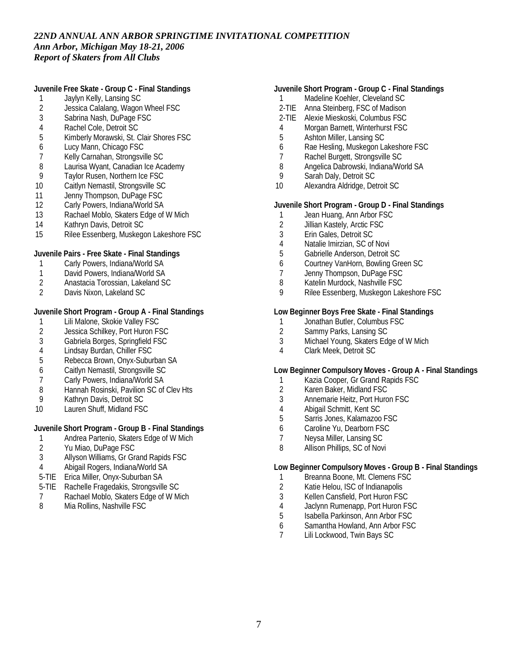**Juvenile Free Skate - Group C - Final Standings**

- 1 Jaylyn Kelly, Lansing SC
- 2 Jessica Calalang, Wagon Wheel FSC<br>3 Sabrina Nash, DuPage FSC
- Sabrina Nash, DuPage FSC
- 4 Rachel Cole, Detroit SC<br>5 Kimberly Morawski, St. 0
- 5 Kimberly Morawski, St. Clair Shores FSC
- 6 Lucy Mann, Chicago FSC
- 7 Kelly Carnahan, Strongsville SC
- 8 Laurisa Wyant, Canadian Ice Academy<br>9 Tavlor Rusen, Northern Ice FSC
- Taylor Rusen, Northern Ice FSC
- 10 Caitlyn Nemastil, Strongsville SC
- 11 Jenny Thompson, DuPage FSC<br>12 Carly Powers, Indiana/World SA
- Carly Powers, Indiana/World SA
- 13 Rachael Moblo, Skaters Edge of W Mich
- 14 Kathryn Davis, Detroit SC
- 15 Rilee Essenberg, Muskegon Lakeshore FSC

**Juvenile Pairs - Free Skate - Final Standings**

- 1 Carly Powers, Indiana/World SA
- 1 David Powers, Indiana/World SA
- 2 Anastacia Torossian, Lakeland SC<br>2 Davis Nixon, Lakeland SC
- 2 Davis Nixon, Lakeland SC

**Juvenile Short Program - Group A - Final Standings**

- 
- 1 Lili Malone, Skokie Valley FSC<br>2 Jessica Schilkey, Port Huron F. 2 Jessica Schilkey, Port Huron FSC<br>3 Gabriela Borges, Springfield FSC
- 3 Gabriela Borges, Springfield FSC
- 4 Lindsay Burdan, Chiller FSC
- 5 Rebecca Brown, Onyx-Suburban SA
- 6 Caitlyn Nemastil, Strongsville SC
- 7 Carly Powers, Indiana/World SA
- 8 Hannah Rosinski, Pavilion SC of Clev Hts<br>9 Kathryn Davis, Detroit SC
- 9 Kathryn Davis, Detroit SC
- 10 Lauren Shuff, Midland FSC

**Juvenile Short Program - Group B - Final Standings**

- 1 Andrea Partenio, Skaters Edge of W Mich
- 2 Yu Miao, DuPage FSC<br>3 Allyson Williams, Gr Gr
- 3 Allyson Williams, Gr Grand Rapids FSC
- 4 Abigail Rogers, Indiana/World SA
- 5-TIE Erica Miller, Onyx-Suburban SA
- 5-TIE Rachelle Fragedakis, Strongsville SC
- 7 Rachael Moblo, Skaters Edge of W Mich
- 8 Mia Rollins, Nashville FSC
- **Juvenile Short Program Group C Final Standings**
	- 1 Madeline Koehler, Cleveland SC
- 2-TIE Anna Steinberg, FSC of Madison
- 2-TIE Alexie Mieskoski, Columbus FSC
- 4 Morgan Barnett, Winterhurst FSC
- 5 Ashton Miller, Lansing SC
- 6 Rae Hesling, Muskegon Lakeshore FSC
- 7 Rachel Burgett, Strongsville SC
- 8 Angelica Dabrowski, Indiana/World SA<br>9 Sarah Daly, Detroit SC
- Sarah Daly, Detroit SC
- 10 Alexandra Aldridge, Detroit SC

**Juvenile Short Program - Group D - Final Standings**

- 1 Jean Huang, Ann Arbor FSC
- 2 Jillian Kastely, Arctic FSC
- 3 Erin Gales, Detroit SC
- 4 Natalie Imirzian, SC of Novi<br>5 Gabrielle Anderson. Detroit
- 5 Gabrielle Anderson, Detroit SC
- 6 Courtney VanHorn, Bowling Green SC
- 7 Jenny Thompson, DuPage FSC
- 8 Katelin Murdock, Nashville FSC
- 9 Rilee Essenberg, Muskegon Lakeshore FSC

**Low Beginner Boys Free Skate - Final Standings**

- 1 Jonathan Butler, Columbus FSC<br>2 Sammy Parks. Lansing SC
- 2 Sammy Parks, Lansing SC<br>3 Michael Young, Skaters Ed
- Michael Young, Skaters Edge of W Mich
- 4 Clark Meek, Detroit SC

**Low Beginner Compulsory Moves - Group A - Final Standings**

- 1 Kazia Cooper, Gr Grand Rapids FSC
- 2 Karen Baker, Midland FSC
- 3 Annemarie Heitz, Port Huron FSC
- 4 Abigail Schmitt, Kent SC
- 5 Sarris Jones, Kalamazoo FSC
- 6 Caroline Yu, Dearborn FSC
- 7 Neysa Miller, Lansing SC
- 8 Allison Phillips, SC of Novi

**Low Beginner Compulsory Moves - Group B - Final Standings**

- 1 Breanna Boone, Mt. Clemens FSC
- 2 Katie Helou, ISC of Indianapolis
- 3 Kellen Cansfield, Port Huron FSC
- 4 Jaclynn Rumenapp, Port Huron FSC
- 5 Isabella Parkinson, Ann Arbor FSC
- 6 Samantha Howland, Ann Arbor FSC<br>7 I ili Lockwood. Twin Bays SC
- Lili Lockwood, Twin Bays SC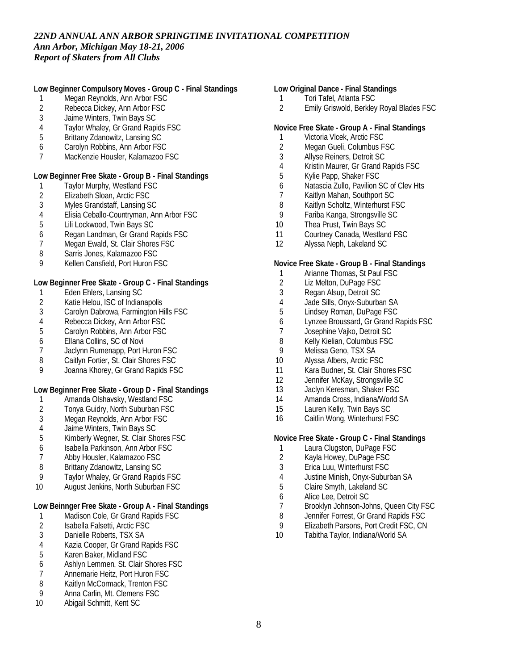**Low Beginner Compulsory Moves - Group C - Final Standings**

- 1 Megan Reynolds, Ann Arbor FSC
- 2 Rebecca Dickey, Ann Arbor FSC<br>3 Jaime Winters. Twin Bays SC
- 3 Jaime Winters, Twin Bays SC
- 4 Taylor Whaley, Gr Grand Rapids FSC<br>5 Brittany Zdanowitz, Lansing SC
- 5 Brittany Zdanowitz, Lansing SC
- 6 Carolyn Robbins, Ann Arbor FSC
- 7 MacKenzie Housler, Kalamazoo FSC

**Low Beginner Free Skate - Group B - Final Standings**

- 1 Taylor Murphy, Westland FSC<br>2 Elizabeth Sloan, Arctic FSC
- 2 Elizabeth Sloan, Arctic FSC<br>3 Myles Grandstaff, Lansing S
- 3 Myles Grandstaff, Lansing SC
- 4 Elisia Ceballo-Countryman, Ann Arbor FSC
- 5 Lili Lockwood, Twin Bays SC
- 6 Regan Landman, Gr Grand Rapids FSC
- 7 Megan Ewald, St. Clair Shores FSC
- 8 Sarris Jones, Kalamazoo FSC
- 9 Kellen Cansfield, Port Huron FSC

**Low Beginner Free Skate - Group C - Final Standings**

- 1 Eden Ehlers, Lansing SC
- 2 Katie Helou, ISC of Indianapolis<br>3 Carolyn Dabrowa, Farmington H
- 3 Carolyn Dabrowa, Farmington Hills FSC
- 4 Rebecca Dickey, Ann Arbor FSC<br>5 Carolyn Robbins, Ann Arbor FSC
- 5 Carolyn Robbins, Ann Arbor FSC
- 6 Ellana Collins, SC of Novi
- 7 Jaclynn Rumenapp, Port Huron FSC
- 8 Caitlyn Fortier, St. Clair Shores FSC<br>9 Joanna Khorey, Gr Grand Rapids FS
- 9 Joanna Khorey, Gr Grand Rapids FSC

**Low Beginner Free Skate - Group D - Final Standings**

- 1 Amanda Olshavsky, Westland FSC
- 2 Tonya Guidry, North Suburban FSC
- 3 Megan Reynolds, Ann Arbor FSC
- 4 Jaime Winters, Twin Bays SC<br>5 Kimberly Wegner, St. Clair Sh
- 5 Kimberly Wegner, St. Clair Shores FSC
- 6 Isabella Parkinson, Ann Arbor FSC
- 7 Abby Housler, Kalamazoo FSC
- 8 Brittany Zdanowitz, Lansing SC
- 9 Taylor Whaley, Gr Grand Rapids FSC
- 10 August Jenkins, North Suburban FSC

**Low Beinnger Free Skate - Group A - Final Standings**

- 1 Madison Cole, Gr Grand Rapids FSC<br>2 Isabella Falsetti, Arctic FSC
- 2 Isabella Falsetti, Arctic FSC<br>3 Danielle Roberts, TSX SA
- Danielle Roberts, TSX SA
- 4 Kazia Cooper, Gr Grand Rapids FSC<br>5 Karen Baker, Midland FSC
- 5 Karen Baker, Midland FSC
- 6 Ashlyn Lemmen, St. Clair Shores FSC
- 7 Annemarie Heitz, Port Huron FSC
- 8 Kaitlyn McCormack, Trenton FSC<br>9 Anna Carlin. Mt. Clemens FSC
- Anna Carlin, Mt. Clemens FSC
- 10 Abigail Schmitt, Kent SC

**Low Original Dance - Final Standings**

- 1 Tori Tafel, Atlanta FSC
- 2 Emily Griswold, Berkley Royal Blades FSC

**Novice Free Skate - Group A - Final Standings**

- 1 Victoria Vlcek, Arctic FSC
- 2 Megan Gueli, Columbus FSC<br>3 Allyse Reiners. Detroit SC
- 3 Allyse Reiners, Detroit SC
- 4 Kristin Maurer, Gr Grand Rapids FSC<br>5 Kylie Papp, Shaker FSC
- 5 Kylie Papp, Shaker FSC
- 6 Natascia Zullo, Pavilion SC of Clev Hts
- 7 Kaitlyn Mahan, Southport SC<br>8 Kaitlyn Scholtz. Winterhurst F
- 8 Kaitlyn Scholtz, Winterhurst FSC
- 9 Fariba Kanga, Strongsville SC
- 10 Thea Prust, Twin Bays SC
- 11 Courtney Canada, Westland FSC
- 12 Alyssa Neph, Lakeland SC

#### **Novice Free Skate - Group B - Final Standings**

- 1 Arianne Thomas, St Paul FSC
- 2 Liz Melton, DuPage FSC
- 3 Regan Alsup, Detroit SC
- 4 Jade Sills, Onyx-Suburban SA
- 5 Lindsey Roman, DuPage FSC
- 6 Lynzee Broussard, Gr Grand Rapids FSC
- 7 Josephine Vajko, Detroit SC<br>8 Kelly Kielian, Columbus FSC
- 8 Kelly Kielian, Columbus FSC<br>9 Melissa Geno, TSX SA
- Melissa Geno, TSX SA
- 10 Alyssa Albers, Arctic FSC
- 11 Kara Budner, St. Clair Shores FSC
- 12 Jennifer McKay, Strongsville SC
- 13 Jaclyn Keresman, Shaker FSC
- 14 Amanda Cross, Indiana/World SA
- 15 Lauren Kelly, Twin Bays SC
- 16 Caitlin Wong, Winterhurst FSC

**Novice Free Skate - Group C - Final Standings**

- 1 Laura Clugston, DuPage FSC<br>2 Kayla Howey, DuPage FSC
- 2 Kayla Howey, DuPage FSC
- 3 Erica Luu, Winterhurst FSC
- 4 Justine Minish, Onyx-Suburban SA
- 5 Claire Smyth, Lakeland SC
- 6 Alice Lee, Detroit SC
- 7 Brooklyn Johnson-Johns, Queen City FSC
- 8 Jennifer Forrest, Gr Grand Rapids FSC
- 9 Elizabeth Parsons, Port Credit FSC, CN<br>10 Tabitha Tavlor, Indiana/World SA
- Tabitha Taylor, Indiana/World SA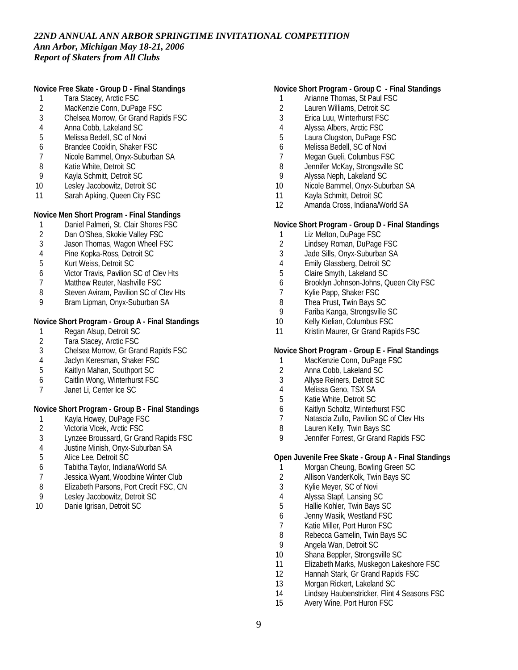**Novice Free Skate - Group D - Final Standings**

- 1 Tara Stacey, Arctic FSC
- 2 MacKenzie Conn, DuPage FSC<br>3 Chelsea Morrow. Gr Grand Rapi
- 3 Chelsea Morrow, Gr Grand Rapids FSC
- 4 Anna Cobb, Lakeland SC
- 5 Melissa Bedell, SC of Novi
- 6 Brandee Cooklin, Shaker FSC
- 7 Nicole Bammel, Onyx-Suburban SA
- 8 Katie White, Detroit SC<br>9 Kavla Schmitt, Detroit S
- 9 Kayla Schmitt, Detroit SC
- 10 Lesley Jacobowitz, Detroit SC
- 11 Sarah Apking, Queen City FSC

**Novice Men Short Program - Final Standings**

- 1 Daniel Palmeri, St. Clair Shores FSC<br>2 Dan O'Shea. Skokie Vallev FSC
- Dan O'Shea, Skokie Valley FSC
- 3 Jason Thomas, Wagon Wheel FSC
- 4 Pine Kopka-Ross, Detroit SC
- 5 Kurt Weiss, Detroit SC
- 6 Victor Travis, Pavilion SC of Clev Hts
- 7 Matthew Reuter, Nashville FSC
- 8 Steven Aviram, Pavilion SC of Clev Hts<br>9 Bram Lipman, Onyx-Suburban SA
- Bram Lipman, Onyx-Suburban SA

**Novice Short Program - Group A - Final Standings**

- 1 Regan Alsup, Detroit SC<br>2 Tara Stacev. Arctic FSC
- 2 Tara Stacey, Arctic FSC<br>3 Chelsea Morrow. Gr Gra
- 3 Chelsea Morrow, Gr Grand Rapids FSC
- 4 Jaclyn Keresman, Shaker FSC<br>5 Kaitlyn Mahan, Southport SC
- 5 Kaitlyn Mahan, Southport SC
- 6 Caitlin Wong, Winterhurst FSC
- 7 Janet Li, Center Ice SC

**Novice Short Program - Group B - Final Standings**

- 
- 1 Kayla Howey, DuPage FSC<br>2 Victoria Vlcek, Arctic FSC
- 2 Victoria Vlcek, Arctic FSC<br>3 Lynzee Broussard, Gr Gra 3 Lynzee Broussard, Gr Grand Rapids FSC
- 4 Justine Minish, Onyx-Suburban SA
- 5 Alice Lee, Detroit SC
- 6 Tabitha Taylor, Indiana/World SA
- 7 Jessica Wyant, Woodbine Winter Club
- 8 Elizabeth Parsons, Port Credit FSC, CN
- 9 Lesley Jacobowitz, Detroit SC
- 10 Danie Igrisan, Detroit SC

#### **Novice Short Program - Group C - Final Standings**

- 1 Arianne Thomas, St Paul FSC
- 2 Lauren Williams, Detroit SC<br>3 Erica Luu. Winterhurst FSC
- 3 Erica Luu, Winterhurst FSC
- 4 Alyssa Albers, Arctic FSC
- 5 Laura Clugston, DuPage FSC
- 6 Melissa Bedell, SC of Novi
- 7 Megan Gueli, Columbus FSC
- 8 Jennifer McKay, Strongsville SC<br>9 Alvssa Neph. Lakeland SC
- 9 Alyssa Neph, Lakeland SC
- 10 Nicole Bammel, Onyx-Suburban SA
- 11 Kayla Schmitt, Detroit SC
- 12 Amanda Cross, Indiana/World SA

#### **Novice Short Program - Group D - Final Standings**

- 1 Liz Melton, DuPage FSC
- 2 Lindsey Roman, DuPage FSC
- 3 Jade Sills, Onyx-Suburban SA
- 4 Emily Glassberg, Detroit SC
- 5 Claire Smyth, Lakeland SC
- 6 Brooklyn Johnson-Johns, Queen City FSC
- 7 Kylie Papp, Shaker FSC<br>8 Thea Prust, Twin Bays S
- 8 Thea Prust, Twin Bays SC<br>9 Fariba Kanga, Strongsville
- 9 Fariba Kanga, Strongsville SC
- 10 Kelly Kielian, Columbus FSC
- 11 Kristin Maurer, Gr Grand Rapids FSC

#### **Novice Short Program - Group E - Final Standings**

- 1 MacKenzie Conn, DuPage FSC<br>2 Anna Cobb. Lakeland SC
- 2 Anna Cobb, Lakeland SC<br>3 Allyse Reiners, Detroit SC
- 3 Allyse Reiners, Detroit SC
- 4 Melissa Geno, TSX SA<br>5 Katie White, Detroit SC
- 5 Katie White, Detroit SC
- 6 Kaitlyn Scholtz, Winterhurst FSC
- 7 Natascia Zullo, Pavilion SC of Clev Hts<br>8 Lauren Kelly, Twin Bays SC
- Lauren Kelly, Twin Bays SC
- 9 Jennifer Forrest, Gr Grand Rapids FSC

#### **Open Juvenile Free Skate - Group A - Final Standings**

- 1 Morgan Cheung, Bowling Green SC
- 2 Allison VanderKolk, Twin Bays SC
- 3 Kylie Meyer, SC of Novi
- 4 Alyssa Stapf, Lansing SC
- 5 Hallie Kohler, Twin Bays SC
- 6 Jenny Wasik, Westland FSC
- 7 Katie Miller, Port Huron FSC<br>8 Rebecca Gamelin. Twin Bavs
- Rebecca Gamelin, Twin Bays SC
- 9 Angela Wan, Detroit SC
- 10 Shana Beppler, Strongsville SC
- 11 Elizabeth Marks, Muskegon Lakeshore FSC
- 12 Hannah Stark, Gr Grand Rapids FSC
- 13 Morgan Rickert, Lakeland SC
- 14 Lindsey Haubenstricker, Flint 4 Seasons FSC
- 15 Avery Wine, Port Huron FSC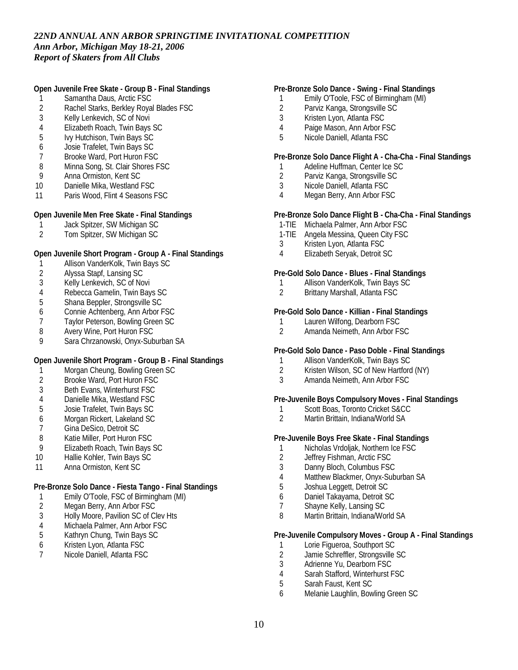**Open Juvenile Free Skate - Group B - Final Standings**

- 1 Samantha Daus, Arctic FSC
- 2 Rachel Starks, Berkley Royal Blades FSC<br>3 Kelly Lenkevich. SC of Novi
- Kelly Lenkevich, SC of Novi
- 4 Elizabeth Roach, Twin Bays SC<br>5 Ivy Hutchison, Twin Bays SC
- 5 Ivy Hutchison, Twin Bays SC
- 6 Josie Trafelet, Twin Bays SC
- 7 Brooke Ward, Port Huron FSC
- 8 Minna Song, St. Clair Shores FSC<br>9 Anna Ormiston, Kent SC
- 9 Anna Ormiston, Kent SC
- 10 Danielle Mika, Westland FSC
- 11 Paris Wood, Flint 4 Seasons FSC

**Open Juvenile Men Free Skate - Final Standings**

- 1 Jack Spitzer, SW Michigan SC<br>2 Tom Spitzer, SW Michigan SC
- 2 Tom Spitzer, SW Michigan SC

**Open Juvenile Short Program - Group A - Final Standings**

- 1 Allison VanderKolk, Twin Bays SC<br>2 Alyssa Stapf, Lansing SC
- 2 Alyssa Stapf, Lansing SC
- 3 Kelly Lenkevich, SC of Novi
- 
- 4 Rebecca Gamelin, Twin Bays SC<br>5 Shana Beppler, Strongsville SC 5 Shana Beppler, Strongsville SC
- 6 Connie Achtenberg, Ann Arbor FSC
- 
- 7 Taylor Peterson, Bowling Green SC<br>8 Avery Wine, Port Huron FSC
- 8 Avery Wine, Port Huron FSC<br>9 Sara Chrzanowski Onyx-Sub Sara Chrzanowski, Onyx-Suburban SA

**Open Juvenile Short Program - Group B - Final Standings**

- 1 Morgan Cheung, Bowling Green SC<br>2 Brooke Ward. Port Huron FSC
- 2 Brooke Ward, Port Huron FSC
- 3 Beth Evans, Winterhurst FSC
- 4 Danielle Mika, Westland FSC
- 5 Josie Trafelet, Twin Bays SC
- 6 Morgan Rickert, Lakeland SC
- 7 Gina DeSico, Detroit SC
- 8 Katie Miller, Port Huron FSC
- 9 Elizabeth Roach, Twin Bays SC
- 10 Hallie Kohler, Twin Bays SC
- 11 Anna Ormiston, Kent SC

**Pre-Bronze Solo Dance - Fiesta Tango - Final Standings**

- 1 Emily O'Toole, FSC of Birmingham (MI)<br>2 Megan Berry, Ann Arbor FSC
- Megan Berry, Ann Arbor FSC
- 3 Holly Moore, Pavilion SC of Clev Hts<br>4 Michaela Palmer, Ann Arbor FSC
- 4 Michaela Palmer, Ann Arbor FSC<br>5 Kathryn Chung, Twin Bays SC
- 5 Kathryn Chung, Twin Bays SC
- 6 Kristen Lyon, Atlanta FSC
- 7 Nicole Daniell, Atlanta FSC

### **Pre-Bronze Solo Dance - Swing - Final Standings**

- 1 Emily O'Toole, FSC of Birmingham (MI)
- 2 Parviz Kanga, Strongsville SC<br>3 Kristen Lyon. Atlanta FSC
- 3 Kristen Lyon, Atlanta FSC
- 4 Paige Mason, Ann Arbor FSC
- 5 Nicole Daniell, Atlanta FSC

**Pre-Bronze Solo Dance Flight A - Cha-Cha - Final Standings**

- 1 Adeline Huffman, Center Ice SC
- 2 Parviz Kanga, Strongsville SC
- 3 Nicole Daniell, Atlanta FSC
- 4 Megan Berry, Ann Arbor FSC

**Pre-Bronze Solo Dance Flight B - Cha-Cha - Final Standings**

- 1-TIE Michaela Palmer, Ann Arbor FSC
- 1-TIE Angela Messina, Queen City FSC
- 3 Kristen Lyon, Atlanta FSC
- 4 Elizabeth Seryak, Detroit SC

**Pre-Gold Solo Dance - Blues - Final Standings**

- 1 Allison VanderKolk, Twin Bays SC
- 2 Brittany Marshall, Atlanta FSC

**Pre-Gold Solo Dance - Killian - Final Standings**

- 1 Lauren Wilfong, Dearborn FSC<br>2 Amanda Neimeth, Ann Arbor F.
- 2 Amanda Neimeth, Ann Arbor FSC

**Pre-Gold Solo Dance - Paso Doble - Final Standings**

- 1 Allison VanderKolk, Twin Bays SC<br>2 Kristen Wilson, SC of New Hartford
- 2 Kristen Wilson, SC of New Hartford (NY)<br>3 Amanda Neimeth Ann Arbor FSC
- 3 Amanda Neimeth, Ann Arbor FSC

**Pre-Juvenile Boys Compulsory Moves - Final Standings**

- 1 Scott Boas, Toronto Cricket S&CC
- 2 Martin Brittain, Indiana/World SA

**Pre-Juvenile Boys Free Skate - Final Standings**

- 1 Nicholas Vrdoljak, Northern Ice FSC<br>2 Jeffrey Fishman, Arctic FSC
- Jeffrey Fishman, Arctic FSC
- 3 Danny Bloch, Columbus FSC
- 4 Matthew Blackmer, Onyx-Suburban SA
- 5 Joshua Leggett, Detroit SC
- 6 Daniel Takayama, Detroit SC
- 7 Shayne Kelly, Lansing SC
- 8 Martin Brittain, Indiana/World SA

**Pre-Juvenile Compulsory Moves - Group A - Final Standings**

- 1 Lorie Figueroa, Southport SC<br>2 Jamie Schreffler, Strongsville
- 2 Jamie Schreffler, Strongsville SC<br>3 Adrienne Yu, Dearborn FSC
- Adrienne Yu, Dearborn FSC
- 4 Sarah Stafford, Winterhurst FSC
- 5 Sarah Faust, Kent SC
- 6 Melanie Laughlin, Bowling Green SC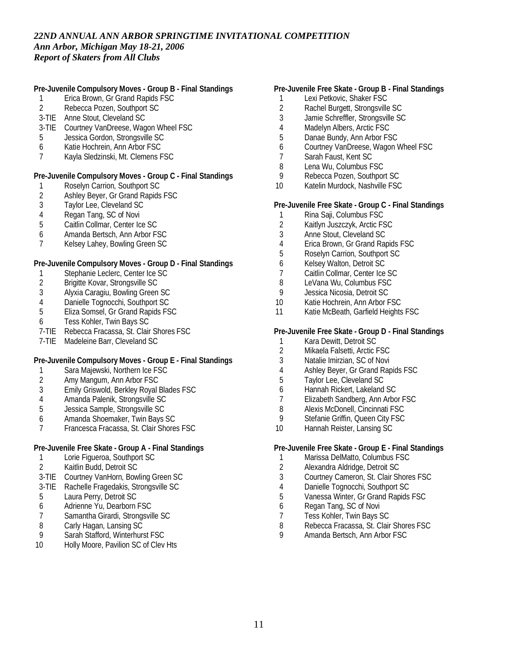**Pre-Juvenile Compulsory Moves - Group B - Final Standings**

- 1 Erica Brown, Gr Grand Rapids FSC
- 2 Rebecca Pozen, Southport SC
- 3-TIE Anne Stout, Cleveland SC
- 3-TIE Courtney VanDreese, Wagon Wheel FSC
- 5 Jessica Gordon, Strongsville SC
- 6 Katie Hochrein, Ann Arbor FSC
- 7 Kayla Sledzinski, Mt. Clemens FSC

**Pre-Juvenile Compulsory Moves - Group C - Final Standings**

- 1 Roselyn Carrion, Southport SC<br>2 Ashley Beyer, Gr Grand Rapids
- 2 Ashley Beyer, Gr Grand Rapids FSC<br>3 Tavlor Lee, Cleveland SC
- Taylor Lee, Cleveland SC
- 4 Regan Tang, SC of Novi
- 5 Caitlin Collmar, Center Ice SC
- 6 Amanda Bertsch, Ann Arbor FSC
- 7 Kelsey Lahey, Bowling Green SC

**Pre-Juvenile Compulsory Moves - Group D - Final Standings**

- 1 Stephanie Leclerc, Center Ice SC
- 2 Brigitte Kovar, Strongsville SC<br>3 Alvxia Caragiu, Bowling Green
- 3 Alyxia Caragiu, Bowling Green SC
- 4 Danielle Tognocchi, Southport SC<br>5 Eliza Somsel. Gr Grand Rapids FS
- 5 Eliza Somsel, Gr Grand Rapids FSC
- 6 Tess Kohler, Twin Bays SC
- 7-TIE Rebecca Fracassa, St. Clair Shores FSC
- 7-TIE Madeleine Barr, Cleveland SC

**Pre-Juvenile Compulsory Moves - Group E - Final Standings**

- 1 Sara Majewski, Northern Ice FSC<br>2 Amy Mangum, Ann Arbor FSC
- Amy Mangum, Ann Arbor FSC
- 3 Emily Griswold, Berkley Royal Blades FSC
- 4 Amanda Palenik, Strongsville SC
- 5 Jessica Sample, Strongsville SC
- 6 Amanda Shoemaker, Twin Bays SC
- 7 Francesca Fracassa, St. Clair Shores FSC

**Pre-Juvenile Free Skate - Group A - Final Standings**

- 1 Lorie Figueroa, Southport SC
- 2 Kaitlin Budd, Detroit SC
- 3-TIE Courtney VanHorn, Bowling Green SC
- 3-TIE Rachelle Fragedakis, Strongsville SC
- 5 Laura Perry, Detroit SC
- 6 Adrienne Yu, Dearborn FSC
- 7 Samantha Girardi, Strongsville SC<br>8 Carly Hagan. Lansing SC
- 8 Carly Hagan, Lansing SC<br>9 Sarah Stafford Winterhur
- Sarah Stafford, Winterhurst FSC
- 10 Holly Moore, Pavilion SC of Clev Hts

### **Pre-Juvenile Free Skate - Group B - Final Standings**

- 1 Lexi Petkovic, Shaker FSC
- 2 Rachel Burgett, Strongsville SC<br>3 Jamie Schreffler, Strongsville SC
- 3 Jamie Schreffler, Strongsville SC
- 4 Madelyn Albers, Arctic FSC
- 5 Danae Bundy, Ann Arbor FSC
- 6 Courtney VanDreese, Wagon Wheel FSC
- 7 Sarah Faust, Kent SC
- 8 Lena Wu, Columbus FSC
- 9 Rebecca Pozen, Southport SC
- 10 Katelin Murdock, Nashville FSC

**Pre-Juvenile Free Skate - Group C - Final Standings**

- 1 Rina Saji, Columbus FSC
- 2 Kaitlyn Juszczyk, Arctic FSC<br>3 Anne Stout, Cleveland SC
- 3 Anne Stout, Cleveland SC
- 4 Erica Brown, Gr Grand Rapids FSC
- 5 Roselyn Carrion, Southport SC
- 6 Kelsey Walton, Detroit SC
- 7 Caitlin Collmar, Center Ice SC
- 8 LeVana Wu, Columbus FSC
- 9 Jessica Nicosia, Detroit SC
- 10 Katie Hochrein, Ann Arbor FSC
- 11 Katie McBeath, Garfield Heights FSC

**Pre-Juvenile Free Skate - Group D - Final Standings**

- 1 Kara Dewitt, Detroit SC<br>2 Mikaela Falsetti, Arctic I
- 2 Mikaela Falsetti, Arctic FSC
- 3 Natalie Imirzian, SC of Novi
- 4 Ashley Beyer, Gr Grand Rapids FSC<br>5 Taylor Lee. Cleveland SC
- 5 Taylor Lee, Cleveland SC
- 6 Hannah Rickert, Lakeland SC
- 7 Elizabeth Sandberg, Ann Arbor FSC
- 8 Alexis McDonell, Cincinnati FSC
- 9 Stefanie Griffin, Queen City FSC
- 10 Hannah Reister, Lansing SC

**Pre-Juvenile Free Skate - Group E - Final Standings**

- 1 Marissa DelMatto, Columbus FSC
- 2 Alexandra Aldridge, Detroit SC
- 3 Courtney Cameron, St. Clair Shores FSC
- 4 Danielle Tognocchi, Southport SC
- 5 Vanessa Winter, Gr Grand Rapids FSC
- 6 Regan Tang, SC of Novi
- 7 Tess Kohler, Twin Bays SC
- 8 Rebecca Fracassa, St. Clair Shores FSC<br>9 Amanda Bertsch. Ann Arbor FSC
- Amanda Bertsch, Ann Arbor FSC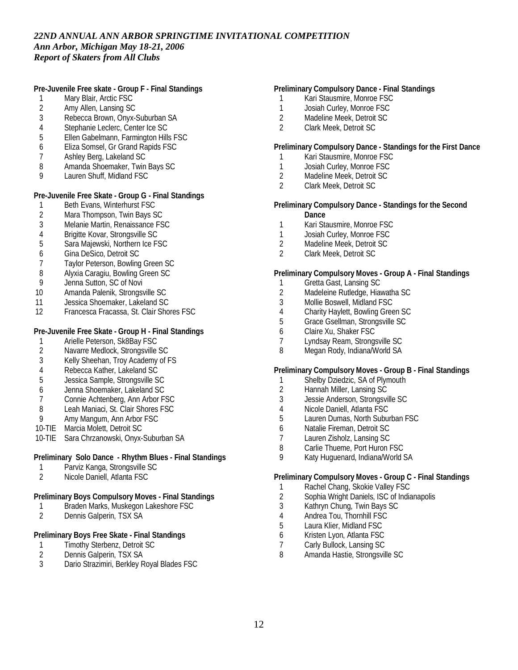**Pre-Juvenile Free skate - Group F - Final Standings**

- 1 Mary Blair, Arctic FSC
- 2 Amy Allen, Lansing SC<br>3 Rebecca Brown. Onvx-
- 3 Rebecca Brown, Onyx-Suburban SA
- 4 Stephanie Leclerc, Center Ice SC
- 5 Ellen Gabelmann, Farmington Hills FSC
- 6 Eliza Somsel, Gr Grand Rapids FSC
- 7 Ashley Berg, Lakeland SC
- 8 Amanda Shoemaker, Twin Bays SC
- 9 Lauren Shuff, Midland FSC

### **Pre-Juvenile Free Skate - Group G - Final Standings**

- 1 Beth Evans, Winterhurst FSC<br>2 Mara Thompson, Twin Bays S
- 2 Mara Thompson, Twin Bays SC
- 3 Melanie Martin, Renaissance FSC
- 4 Brigitte Kovar, Strongsville SC<br>5 Sara Maiewski, Northern Ice F.
- 5 Sara Majewski, Northern Ice FSC
- 6 Gina DeSico, Detroit SC
- 7 Taylor Peterson, Bowling Green SC
- 8 Alyxia Caragiu, Bowling Green SC
- 9 Jenna Sutton, SC of Novi
- 10 Amanda Palenik, Strongsville SC
- 11 Jessica Shoemaker, Lakeland SC<br>12 Francesca Fracassa, St. Clair Sho
- 12 Francesca Fracassa, St. Clair Shores FSC

**Pre-Juvenile Free Skate - Group H - Final Standings**

- 1 Arielle Peterson, Sk8Bay FSC<br>2 Navarre Medlock, Strongsville
- 2 Navarre Medlock, Strongsville SC
- 3 Kelly Sheehan, Troy Academy of FS
- 4 Rebecca Kather, Lakeland SC<br>5 Jessica Sample, Strongsville S
- 5 Jessica Sample, Strongsville SC
- 6 Jenna Shoemaker, Lakeland SC
- 7 Connie Achtenberg, Ann Arbor FSC
- 8 Leah Maniaci, St. Clair Shores FSC
- 9 Amy Mangum, Ann Arbor FSC
- 10-TIE Marcia Molett, Detroit SC
- 10-TIE Sara Chrzanowski, Onyx-Suburban SA

**Preliminary Solo Dance - Rhythm Blues - Final Standings**

- 1 Parviz Kanga, Strongsville SC<br>2 Nicole Daniell Atlanta FSC
- 2 Nicole Daniell, Atlanta FSC

**Preliminary Boys Compulsory Moves - Final Standings**

- 1 Braden Marks, Muskegon Lakeshore FSC
- 2 Dennis Galperin, TSX SA

### **Preliminary Boys Free Skate - Final Standings**

- 1 Timothy Sterbenz, Detroit SC<br>2 Dennis Galperin, TSX SA
- 2 Dennis Galperin, TSX SA<br>3 Dario Strazimiri, Berklev F
- Dario Strazimiri, Berkley Royal Blades FSC

### **Preliminary Compulsory Dance - Final Standings**

- 1 Kari Stausmire, Monroe FSC<br>1 Josiah Curley, Monroe FSC
- 1 Josiah Curley, Monroe FSC<br>2 Madeline Meek, Detroit SC
- Madeline Meek, Detroit SC
- 2 Clark Meek, Detroit SC

**Preliminary Compulsory Dance - Standings for the First Dance**

- 1 Kari Stausmire, Monroe FSC
- 1 Josiah Curley, Monroe FSC<br>2 Madeline Meek, Detroit SC
- 2 Madeline Meek, Detroit SC
- 2 Clark Meek, Detroit SC

**Preliminary Compulsory Dance - Standings for the Second Dance**

- 1 Kari Stausmire, Monroe FSC
- 1 Josiah Curley, Monroe FSC
- 2 Madeline Meek, Detroit SC
- 2 Clark Meek, Detroit SC

### **Preliminary Compulsory Moves - Group A - Final Standings**

- 1 Gretta Gast, Lansing SC
- 2 Madeleine Rutledge, Hiawatha SC
- 3 Mollie Boswell, Midland FSC
- 4 Charity Haylett, Bowling Green SC
- 5 Grace Gsellman, Strongsville SC
- 6 Claire Xu, Shaker FSC<br>7 Lyndsay Ream, Strong
- 7 Lyndsay Ream, Strongsville SC<br>8 Megan Rody, Indiana/World SA
- Megan Rody, Indiana/World SA

**Preliminary Compulsory Moves - Group B - Final Standings**

- 1 Shelby Dziedzic, SA of Plymouth
- 2 Hannah Miller, Lansing SC
- 3 Jessie Anderson, Strongsville SC
- 4 Nicole Daniell, Atlanta FSC
- 5 Lauren Dumas, North Suburban FSC
- 6 Natalie Fireman, Detroit SC
- 7 Lauren Zisholz, Lansing SC
- 8 Carlie Thueme, Port Huron FSC
- 9 Katy Huguenard, Indiana/World SA

**Preliminary Compulsory Moves - Group C - Final Standings**

- 1 Rachel Chang, Skokie Valley FSC
- 2 Sophia Wright Daniels, ISC of Indianapolis
- 3 Kathryn Chung, Twin Bays SC
- 4 Andrea Tou, Thornhill FSC
- 5 Laura Klier, Midland FSC
- 6 Kristen Lyon, Atlanta FSC
- 7 Carly Bullock, Lansing SC<br>8 Amanda Hastie, Strongsvil
- 8 Amanda Hastie, Strongsville SC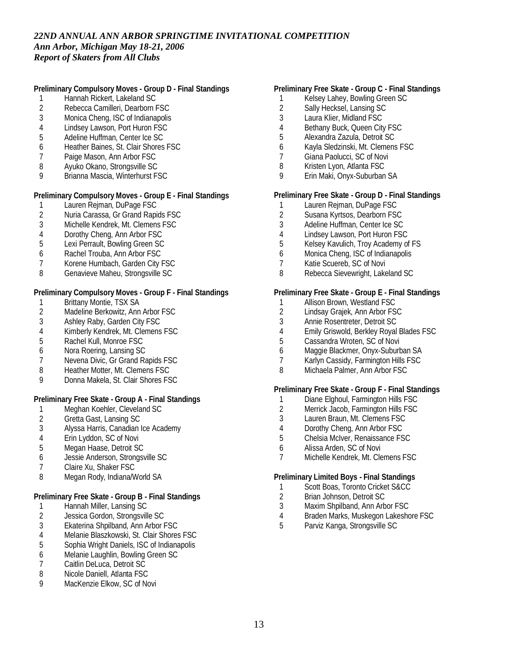**Preliminary Compulsory Moves - Group D - Final Standings**

- 1 Hannah Rickert, Lakeland SC<br>2 Rebecca Camilleri, Dearborn I
- 2 Rebecca Camilleri, Dearborn FSC<br>3 Monica Cheng, ISC of Indianapolis
- Monica Cheng, ISC of Indianapolis
- 4 Lindsey Lawson, Port Huron FSC
- 5 Adeline Huffman, Center Ice SC
- 6 Heather Baines, St. Clair Shores FSC
- 7 Paige Mason, Ann Arbor FSC
- 8 Ayuko Okano, Strongsville SC
- 9 Brianna Mascia, Winterhurst FSC

## **Preliminary Compulsory Moves - Group E - Final Standings**

- 1 Lauren Rejman, DuPage FSC<br>2 Nuria Carassa, Gr Grand Rapi
- 2 Nuria Carassa, Gr Grand Rapids FSC
- 3 Michelle Kendrek, Mt. Clemens FSC
- 4 Dorothy Cheng, Ann Arbor FSC<br>5 Lexi Perrault. Bowling Green SC
- 5 Lexi Perrault, Bowling Green SC
- 6 Rachel Trouba, Ann Arbor FSC
- 7 Korene Humbach, Garden City FSC
- 8 Genavieve Maheu, Strongsville SC

**Preliminary Compulsory Moves - Group F - Final Standings**

- 1 Brittany Montie, TSX SA<br>2 Madeline Berkowitz, Ann
- Madeline Berkowitz, Ann Arbor FSC
- 3 Ashley Raby, Garden City FSC
- 4 Kimberly Kendrek, Mt. Clemens FSC<br>5 Rachel Kull. Monroe FSC
- 5 Rachel Kull, Monroe FSC
- 6 Nora Roering, Lansing SC
- 7 Nevena Divic, Gr Grand Rapids FSC
- 8 Heather Motter, Mt. Clemens FSC
- 9 Donna Makela, St. Clair Shores FSC

**Preliminary Free Skate - Group A - Final Standings**

- 1 Meghan Koehler, Cleveland SC
- 
- 2 Gretta Gast, Lansing SC<br>3 Alyssa Harris, Canadian 3 Alyssa Harris, Canadian Ice Academy
- 4 Erin Lyddon, SC of Novi
- 5 Megan Haase, Detroit SC
- 6 Jessie Anderson, Strongsville SC
- 7 Claire Xu, Shaker FSC
- 8 Megan Rody, Indiana/World SA

**Preliminary Free Skate - Group B - Final Standings**

- 1 Hannah Miller, Lansing SC
- 2 Jessica Gordon, Strongsville SC<br>3 Ekaterina Shpilband, Ann Arbor I
- 3 Ekaterina Shpilband, Ann Arbor FSC
- Melanie Blaszkowski, St. Clair Shores FSC
- 5 Sophia Wright Daniels, ISC of Indianapolis
- 6 Melanie Laughlin, Bowling Green SC
- 7 Caitlin DeLuca, Detroit SC<br>8 Nicole Daniell. Atlanta FSC
- Nicole Daniell, Atlanta FSC
- 9 MacKenzie Elkow, SC of Novi

### **Preliminary Free Skate - Group C - Final Standings**

- 1 Kelsey Lahey, Bowling Green SC
- 2 Sally Hecksel, Lansing SC<br>3 Laura Klier, Midland FSC
- Laura Klier, Midland FSC
- 4 Bethany Buck, Queen City FSC
- 5 Alexandra Zazula, Detroit SC
- 6 Kayla Sledzinski, Mt. Clemens FSC
- 7 Giana Paolucci, SC of Novi
- 8 Kristen Lyon, Atlanta FSC
- 9 Erin Maki, Onyx-Suburban SA

# **Preliminary Free Skate - Group D - Final Standings**

- 1 Lauren Rejman, DuPage FSC<br>2 Susana Kyrtsos, Dearborn FS
- Susana Kyrtsos, Dearborn FSC
- 3 Adeline Huffman, Center Ice SC
- 4 Lindsey Lawson, Port Huron FSC
- 5 Kelsey Kavulich, Troy Academy of FS
- 6 Monica Cheng, ISC of Indianapolis
- 7 Katie Scuereb, SC of Novi
- 8 Rebecca Sievewright, Lakeland SC

#### **Preliminary Free Skate - Group E - Final Standings**

- 1 Allison Brown, Westland FSC<br>2 Lindsay Grajek, Ann Arbor FS
- Lindsay Grajek, Ann Arbor FSC
- 3 Annie Rosentreter, Detroit SC
- 4 Emily Griswold, Berkley Royal Blades FSC<br>5 Cassandra Wroten. SC of Novi
- Cassandra Wroten, SC of Novi
- 6 Maggie Blackmer, Onyx-Suburban SA
- 7 Karlyn Cassidy, Farmington Hills FSC
- 8 Michaela Palmer, Ann Arbor FSC

#### **Preliminary Free Skate - Group F - Final Standings**

- 1 Diane Elghoul, Farmington Hills FSC
- 2 Merrick Jacob, Farmington Hills FSC
- 3 Lauren Braun, Mt. Clemens FSC
- 4 Dorothy Cheng, Ann Arbor FSC
- 5 Chelsia McIver, Renaissance FSC
- 6 Alissa Arden, SC of Novi
- 7 Michelle Kendrek, Mt. Clemens FSC

**Preliminary Limited Boys - Final Standings**

- 1 Scott Boas, Toronto Cricket S&CC
- 2 Brian Johnson, Detroit SC
- 3 Maxim Shpilband, Ann Arbor FSC
- 4 Braden Marks, Muskegon Lakeshore FSC
- 5 Parviz Kanga, Strongsville SC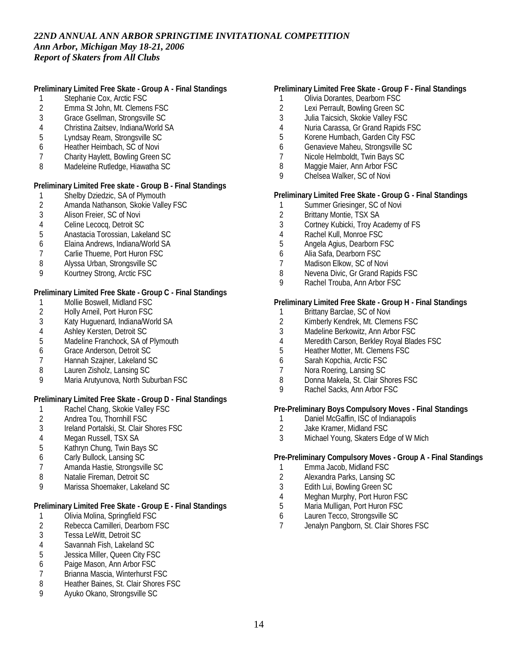**Preliminary Limited Free Skate - Group A - Final Standings**

- 1 Stephanie Cox, Arctic FSC<br>2 Emma St John, Mt. Clemen
- 2 Emma St John, Mt. Clemens FSC<br>3 Grace Gsellman. Strongsville SC
- 3 Grace Gsellman, Strongsville SC
- 4 Christina Zaitsev, Indiana/World SA
- 5 Lyndsay Ream, Strongsville SC
- 6 Heather Heimbach, SC of Novi
- 7 Charity Haylett, Bowling Green SC
- 8 Madeleine Rutledge, Hiawatha SC

**Preliminary Limited Free skate - Group B - Final Standings**

- 1 Shelby Dziedzic, SA of Plymouth<br>2 Amanda Nathanson, Skokie Valle
- 2 Amanda Nathanson, Skokie Valley FSC<br>3 Alison Freier. SC of Novi
- Alison Freier, SC of Novi
- 4 Celine Lecocq, Detroit SC<br>5 Anastacia Torossian, Lake
- 5 Anastacia Torossian, Lakeland SC
- 6 Elaina Andrews, Indiana/World SA
- 7 Carlie Thueme, Port Huron FSC
- 8 Alyssa Urban, Strongsville SC
- 9 Kourtney Strong, Arctic FSC

**Preliminary Limited Free Skate - Group C - Final Standings**

- 1 Mollie Boswell, Midland FSC<br>2 Holly Arneil, Port Huron FSC
- 2 Holly Arneil, Port Huron FSC
- 3 Katy Huguenard, Indiana/World SA
- 4 Ashley Kersten, Detroit SC<br>5 Madeline Franchock, SA of
- Madeline Franchock, SA of Plymouth
- 6 Grace Anderson, Detroit SC
- 7 Hannah Szajner, Lakeland SC
- 8 Lauren Zisholz, Lansing SC
- 9 Maria Arutyunova, North Suburban FSC

**Preliminary Limited Free Skate - Group D - Final Standings**

- 1 Rachel Chang, Skokie Valley FSC
- 2 Andrea Tou, Thornhill FSC<br>3 Ireland Portalski, St. Clair S
- Ireland Portalski, St. Clair Shores FSC
- 4 Megan Russell, TSX SA
- 5 Kathryn Chung, Twin Bays SC
- 6 Carly Bullock, Lansing SC
- 7 Amanda Hastie, Strongsville SC
- 8 Natalie Fireman, Detroit SC
- 9 Marissa Shoemaker, Lakeland SC

**Preliminary Limited Free Skate - Group E - Final Standings**

- 1 Olivia Molina, Springfield FSC<br>2 Rebecca Camilleri, Dearborn F
- 2 Rebecca Camilleri, Dearborn FSC<br>3 Tessa LeWitt, Detroit SC
- Tessa LeWitt, Detroit SC
- 4 Savannah Fish, Lakeland SC<br>5 Jessica Miller, Queen City FS
- 5 Jessica Miller, Queen City FSC
- 6 Paige Mason, Ann Arbor FSC
- 7 Brianna Mascia, Winterhurst FSC
- 8 Heather Baines, St. Clair Shores FSC
- 9 Ayuko Okano, Strongsville SC

#### **Preliminary Limited Free Skate - Group F - Final Standings**

- 1 Olivia Dorantes, Dearborn FSC<br>2 Lexi Perrault, Bowling Green SC
- 2 Lexi Perrault, Bowling Green SC<br>3 Julia Taicsich, Skokie Valley FSC
- 3 Julia Taicsich, Skokie Valley FSC
- 4 Nuria Carassa, Gr Grand Rapids FSC
- 5 Korene Humbach, Garden City FSC
- 6 Genavieve Maheu, Strongsville SC
- 7 Nicole Helmboldt, Twin Bays SC
- 8 Maggie Maier, Ann Arbor FSC
- 9 Chelsea Walker, SC of Novi

**Preliminary Limited Free Skate - Group G - Final Standings**

- 1 Summer Griesinger, SC of Novi<br>2 Brittany Montie. TSX SA
- 2 Brittany Montie, TSX SA
- 3 Cortney Kubicki, Troy Academy of FS
- 4 Rachel Kull, Monroe FSC
- 5 Angela Agius, Dearborn FSC
- 6 Alia Safa, Dearborn FSC
- 7 Madison Elkow, SC of Novi
- 8 Nevena Divic, Gr Grand Rapids FSC
- 9 Rachel Trouba, Ann Arbor FSC

**Preliminary Limited Free Skate - Group H - Final Standings**

- 1 Brittany Barclae, SC of Novi
- 
- 2 Kimberly Kendrek, Mt. Clemens FSC<br>3 Madeline Berkowitz, Ann Arbor FSC Madeline Berkowitz, Ann Arbor FSC
- 4 Meredith Carson, Berkley Royal Blades FSC<br>5 Heather Motter. Mt. Clemens FSC
- 5 Heather Motter, Mt. Clemens FSC
- 6 Sarah Kopchia, Arctic FSC
- Nora Roering, Lansing SC
- 8 Donna Makela, St. Clair Shores FSC
- 9 Rachel Sacks, Ann Arbor FSC

**Pre-Preliminary Boys Compulsory Moves - Final Standings**

- 1 Daniel McGaffin, ISC of Indianapolis<br>2 Jake Kramer, Midland FSC
- 2 Jake Kramer, Midland FSC<br>3 Michael Young, Skaters Ed
- Michael Young, Skaters Edge of W Mich

**Pre-Preliminary Compulsory Moves - Group A - Final Standings**

- 1 Emma Jacob, Midland FSC
- 2 Alexandra Parks, Lansing SC
- 3 Edith Lui, Bowling Green SC
- 4 Meghan Murphy, Port Huron FSC
- 5 Maria Mulligan, Port Huron FSC
- 6 Lauren Tecco, Strongsville SC
- 7 Jenalyn Pangborn, St. Clair Shores FSC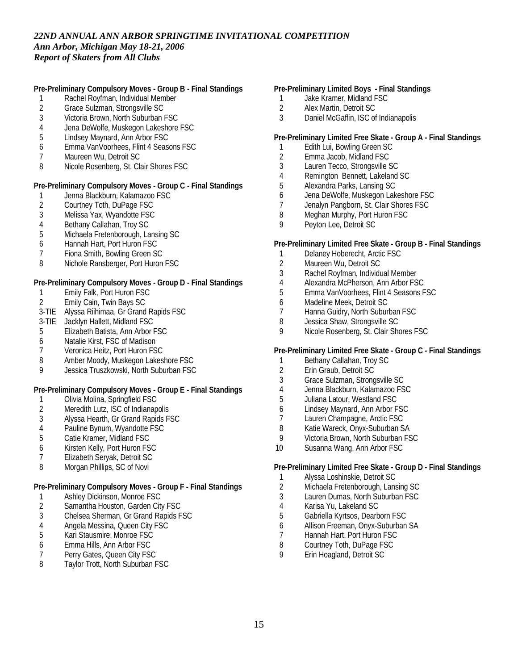**Pre-Preliminary Compulsory Moves - Group B - Final Standings**

- 1 Rachel Royfman, Individual Member
- 2 Grace Sulzman, Strongsville SC<br>3 Victoria Brown, North Suburban I
- Victoria Brown, North Suburban FSC
- 4 Jena DeWolfe, Muskegon Lakeshore FSC
- 5 Lindsey Maynard, Ann Arbor FSC
- 6 Emma VanVoorhees, Flint 4 Seasons FSC
- 7 Maureen Wu, Detroit SC
- 8 Nicole Rosenberg, St. Clair Shores FSC

**Pre-Preliminary Compulsory Moves - Group C - Final Standings**

- 1 Jenna Blackburn, Kalamazoo FSC<br>2 Courtney Toth, DuPage FSC
- 2 Courtney Toth, DuPage FSC<br>3 Melissa Yax. Wyandotte FSC
- Melissa Yax, Wyandotte FSC
- 
- 4 Bethany Callahan, Troy SC<br>5 Michaela Fretenborough, La 5 Michaela Fretenborough, Lansing SC
- 6 Hannah Hart, Port Huron FSC
- 7 Fiona Smith, Bowling Green SC
- 8 Nichole Ransberger, Port Huron FSC

**Pre-Preliminary Compulsory Moves - Group D - Final Standings**

- 1 Emily Falk, Port Huron FSC
- 2 Emily Cain, Twin Bays SC
- 3-TIE Alyssa Riihimaa, Gr Grand Rapids FSC
- 3-TIE Jacklyn Hallett, Midland FSC
- 5 Elizabeth Batista, Ann Arbor FSC
- 6 Natalie Kirst, FSC of Madison
- 7 Veronica Heitz, Port Huron FSC
- 8 Amber Moody, Muskegon Lakeshore FSC
- 9 Jessica Truszkowski, North Suburban FSC

**Pre-Preliminary Compulsory Moves - Group E - Final Standings**

- 1 Olivia Molina, Springfield FSC
- 2 Meredith Lutz, ISC of Indianapolis
- 3 Alyssa Hearth, Gr Grand Rapids FSC
- 4 Pauline Bynum, Wyandotte FSC
- 5 Catie Kramer, Midland FSC
- 6 Kirsten Kelly, Port Huron FSC
- 7 Elizabeth Seryak, Detroit SC
- 8 Morgan Phillips, SC of Novi

**Pre-Preliminary Compulsory Moves - Group F - Final Standings**

- 1 Ashley Dickinson, Monroe FSC<br>2 Samantha Houston, Garden Cit
- Samantha Houston, Garden City FSC
- 3 Chelsea Sherman, Gr Grand Rapids FSC
- 4 Angela Messina, Queen City FSC<br>5 Kari Stausmire, Monroe FSC
- 5 Kari Stausmire, Monroe FSC
- 6 Emma Hills, Ann Arbor FSC
- 7 Perry Gates, Queen City FSC<br>8 Taylor Trott, North Suburban F
- Taylor Trott, North Suburban FSC

**Pre-Preliminary Limited Boys - Final Standings**

- 1 Jake Kramer, Midland FSC<br>2 Alex Martin, Detroit SC
- 2 Alex Martin, Detroit SC<br>3 Daniel McGaffin, ISC of
- Daniel McGaffin, ISC of Indianapolis

**Pre-Preliminary Limited Free Skate - Group A - Final Standings**

- 1 Edith Lui, Bowling Green SC<br>2 Emma Jacob. Midland FSC
- 2 Emma Jacob, Midland FSC
- 3 Lauren Tecco, Strongsville SC
- 4 Remington Bennett, Lakeland SC
- 5 Alexandra Parks, Lansing SC
- 6 Jena DeWolfe, Muskegon Lakeshore FSC
- 7 Jenalyn Pangborn, St. Clair Shores FSC<br>8 Meahan Murphy, Port Huron FSC
- Meghan Murphy, Port Huron FSC
- 9 Peyton Lee, Detroit SC

**Pre-Preliminary Limited Free Skate - Group B - Final Standings**

- 1 Delaney Hoberecht, Arctic FSC
- 2 Maureen Wu, Detroit SC
- 3 Rachel Royfman, Individual Member
- 4 Alexandra McPherson, Ann Arbor FSC
- 5 Emma VanVoorhees, Flint 4 Seasons FSC
- 6 Madeline Meek, Detroit SC<br>7 Hanna Guidry, North Subur
- Hanna Guidry, North Suburban FSC
- 8 Jessica Shaw, Strongsville SC
- 9 Nicole Rosenberg, St. Clair Shores FSC

**Pre-Preliminary Limited Free Skate - Group C - Final Standings**

- 1 Bethany Callahan, Troy SC<br>2 Erin Graub, Detroit SC
- Erin Graub, Detroit SC
- 3 Grace Sulzman, Strongsville SC
- 4 Jenna Blackburn, Kalamazoo FSC
- 5 Juliana Latour, Westland FSC
- 6 Lindsey Maynard, Ann Arbor FSC
- 7 Lauren Champagne, Arctic FSC<br>8 Katie Wareck, Onvx-Suburban S
- Katie Wareck, Onyx-Suburban SA
- 9 Victoria Brown, North Suburban FSC
- 10 Susanna Wang, Ann Arbor FSC

**Pre-Preliminary Limited Free Skate - Group D - Final Standings**

- 1 Alyssa Loshinskie, Detroit SC
- 2 Michaela Fretenborough, Lansing SC
- 3 Lauren Dumas, North Suburban FSC
- 4 Karisa Yu, Lakeland SC<br>5 Gabriella Kyrtsos. Dearb
- 5 Gabriella Kyrtsos, Dearborn FSC
- 6 Allison Freeman, Onyx-Suburban SA
- Hannah Hart, Port Huron FSC
- 8 Courtney Toth, DuPage FSC
- 9 Erin Hoagland, Detroit SC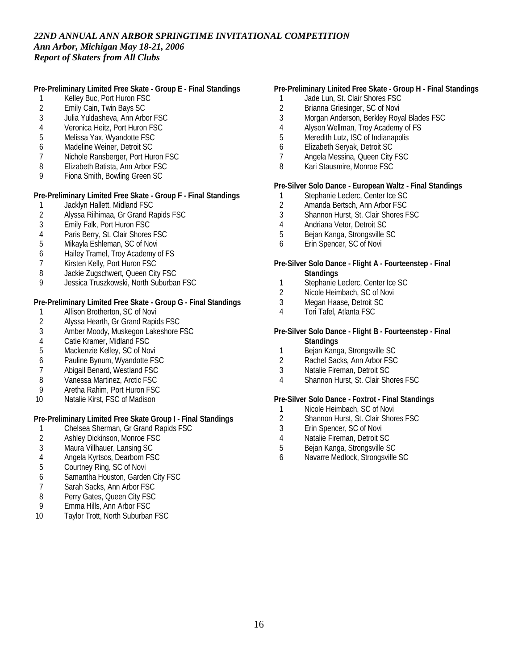**Pre-Preliminary Limited Free Skate - Group E - Final Standings**

- 1 Kelley Buc, Port Huron FSC<br>2 Emily Cain, Twin Bays SC
- 2 Emily Cain, Twin Bays SC<br>3 Julia Yuldasheva, Ann Arb
- Julia Yuldasheva, Ann Arbor FSC
- 4 Veronica Heitz, Port Huron FSC
- 5 Melissa Yax, Wyandotte FSC
- 6 Madeline Weiner, Detroit SC
- 7 Nichole Ransberger, Port Huron FSC
- 8 Elizabeth Batista, Ann Arbor FSC
- 9 Fiona Smith, Bowling Green SC

**Pre-Preliminary Limited Free Skate - Group F - Final Standings**

- 1 Jacklyn Hallett, Midland FSC<br>2 Alyssa Riihimaa, Gr Grand R
- 2 Alyssa Riihimaa, Gr Grand Rapids FSC
- 3 Emily Falk, Port Huron FSC
- 4 Paris Berry, St. Clair Shores FSC<br>5 Mikavla Eshleman. SC of Novi
- 5 Mikayla Eshleman, SC of Novi
- 6 Hailey Tramel, Troy Academy of FS
- 7 Kirsten Kelly, Port Huron FSC
- 8 Jackie Zugschwert, Queen City FSC
- 9 Jessica Truszkowski, North Suburban FSC

**Pre-Preliminary Limited Free Skate - Group G - Final Standings**

- 1 Allison Brotherton, SC of Novi
- 2 Alyssa Hearth, Gr Grand Rapids FSC<br>3 Amber Moody, Muskegon Lakeshore
- Amber Moody, Muskegon Lakeshore FSC
- 4 Catie Kramer, Midland FSC<br>5 Mackenzie Kellev. SC of No
- Mackenzie Kelley, SC of Novi
- 6 Pauline Bynum, Wyandotte FSC
- 7 Abigail Benard, Westland FSC
- 8 Vanessa Martinez, Arctic FSC
- 9 Aretha Rahim, Port Huron FSC
- 10 Natalie Kirst, FSC of Madison

**Pre-Preliminary Limited Free Skate Group I - Final Standings**

- 1 Chelsea Sherman, Gr Grand Rapids FSC<br>2 Ashley Dickinson, Monroe FSC
- Ashley Dickinson, Monroe FSC
- 3 Maura Villhauer, Lansing SC
- 4 Angela Kyrtsos, Dearborn FSC
- 5 Courtney Ring, SC of Novi
- 6 Samantha Houston, Garden City FSC
- 7 Sarah Sacks, Ann Arbor FSC
- 8 Perry Gates, Queen City FSC<br>9 Fmma Hills. Ann Arbor FSC
- 9 Emma Hills, Ann Arbor FSC
- 10 Taylor Trott, North Suburban FSC

### **Pre-Preliminary Linited Free Skate - Group H - Final Standings**

- 1 Jade Lun, St. Clair Shores FSC
- 2 Brianna Griesinger, SC of Novi<br>3 Morgan Anderson, Berkley Rov.
- Morgan Anderson, Berkley Royal Blades FSC
- 4 Alyson Wellman, Troy Academy of FS
- 5 Meredith Lutz, ISC of Indianapolis
- 6 Elizabeth Seryak, Detroit SC
- 7 Angela Messina, Queen City FSC
- 8 Kari Stausmire, Monroe FSC

**Pre-Silver Solo Dance - European Waltz - Final Standings**

- 1 Stephanie Leclerc, Center Ice SC<br>2 Amanda Bertsch, Ann Arbor FSC
- 2 Amanda Bertsch, Ann Arbor FSC<br>3 Shannon Hurst, St. Clair Shores F
- 3 Shannon Hurst, St. Clair Shores FSC
- 4 Andriana Vetor, Detroit SC<br>5 Beian Kanga, Strongsville S
- 5 Bejan Kanga, Strongsville SC
- 6 Erin Spencer, SC of Novi

#### **Pre-Silver Solo Dance - Flight A - Fourteenstep - Final Standings**

- 1 Stephanie Leclerc, Center Ice SC
- 2 Nicole Heimbach, SC of Novi
- 3 Megan Haase, Detroit SC
- 4 Tori Tafel, Atlanta FSC
- **Pre-Silver Solo Dance Flight B Fourteenstep Final Standings**
	- 1 Bejan Kanga, Strongsville SC
	- 2 Rachel Sacks, Ann Arbor FSC
	- 3 Natalie Fireman, Detroit SC
	- 4 Shannon Hurst, St. Clair Shores FSC

**Pre-Silver Solo Dance - Foxtrot - Final Standings**

- 1 Nicole Heimbach, SC of Novi
- 2 Shannon Hurst, St. Clair Shores FSC<br>3 Erin Spencer. SC of Novi
- Erin Spencer, SC of Novi
- 4 Natalie Fireman, Detroit SC
- 5 Bejan Kanga, Strongsville SC
- 6 Navarre Medlock, Strongsville SC